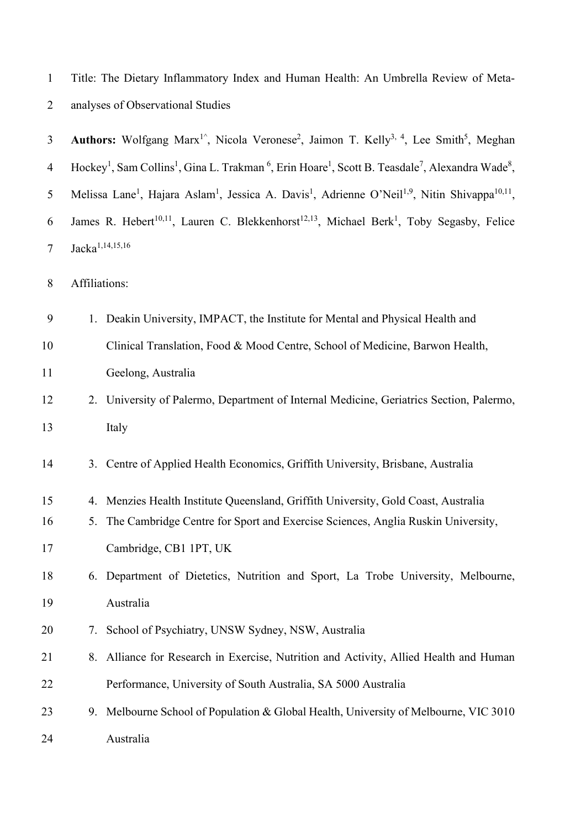| $\mathbf{1}$   |               | Title: The Dietary Inflammatory Index and Human Health: An Umbrella Review of Meta-                                                                                      |
|----------------|---------------|--------------------------------------------------------------------------------------------------------------------------------------------------------------------------|
| 2              |               | analyses of Observational Studies                                                                                                                                        |
| 3              |               | Authors: Wolfgang Marx <sup>1</sup> <sup>^</sup> , Nicola Veronese <sup>2</sup> , Jaimon T. Kelly <sup>3, 4</sup> , Lee Smith <sup>5</sup> , Meghan                      |
| $\overline{4}$ |               | Hockey <sup>1</sup> , Sam Collins <sup>1</sup> , Gina L. Trakman <sup>6</sup> , Erin Hoare <sup>1</sup> , Scott B. Teasdale <sup>7</sup> , Alexandra Wade <sup>8</sup> , |
| 5              |               | Melissa Lane <sup>1</sup> , Hajara Aslam <sup>1</sup> , Jessica A. Davis <sup>1</sup> , Adrienne O'Neil <sup>1,9</sup> , Nitin Shivappa <sup>10,11</sup> ,               |
| 6              |               | James R. Hebert <sup>10,11</sup> , Lauren C. Blekkenhorst <sup>12,13</sup> , Michael Berk <sup>1</sup> , Toby Segasby, Felice                                            |
| $\tau$         |               | Jacka <sup>1,14,15,16</sup>                                                                                                                                              |
| $\,8\,$        | Affiliations: |                                                                                                                                                                          |
| 9              |               | 1. Deakin University, IMPACT, the Institute for Mental and Physical Health and                                                                                           |
| 10             |               | Clinical Translation, Food & Mood Centre, School of Medicine, Barwon Health,                                                                                             |
| 11             |               | Geelong, Australia                                                                                                                                                       |
| 12             |               | 2. University of Palermo, Department of Internal Medicine, Geriatrics Section, Palermo,                                                                                  |
| 13             |               | Italy                                                                                                                                                                    |
| 14             |               | 3. Centre of Applied Health Economics, Griffith University, Brisbane, Australia                                                                                          |
| 15             |               | 4. Menzies Health Institute Queensland, Griffith University, Gold Coast, Australia                                                                                       |
| 16             |               | 5. The Cambridge Centre for Sport and Exercise Sciences, Anglia Ruskin University,                                                                                       |
| 17             |               | Cambridge, CB1 1PT, UK                                                                                                                                                   |
| 18             | 6.            | Department of Dietetics, Nutrition and Sport, La Trobe University, Melbourne,                                                                                            |
| 19             |               | Australia                                                                                                                                                                |
| 20             | 7.            | School of Psychiatry, UNSW Sydney, NSW, Australia                                                                                                                        |
| 21             | 8.            | Alliance for Research in Exercise, Nutrition and Activity, Allied Health and Human                                                                                       |
| 22             |               | Performance, University of South Australia, SA 5000 Australia                                                                                                            |
| 23             |               | 9. Melbourne School of Population & Global Health, University of Melbourne, VIC 3010                                                                                     |
| 24             |               | Australia                                                                                                                                                                |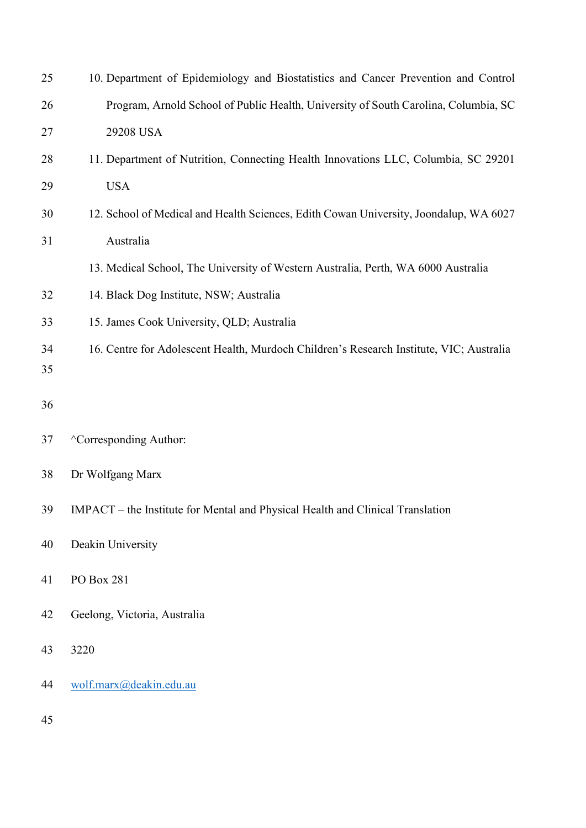| 25 | 10. Department of Epidemiology and Biostatistics and Cancer Prevention and Control      |
|----|-----------------------------------------------------------------------------------------|
| 26 | Program, Arnold School of Public Health, University of South Carolina, Columbia, SC     |
| 27 | 29208 USA                                                                               |
| 28 | 11. Department of Nutrition, Connecting Health Innovations LLC, Columbia, SC 29201      |
| 29 | <b>USA</b>                                                                              |
| 30 | 12. School of Medical and Health Sciences, Edith Cowan University, Joondalup, WA 6027   |
| 31 | Australia                                                                               |
|    | 13. Medical School, The University of Western Australia, Perth, WA 6000 Australia       |
| 32 | 14. Black Dog Institute, NSW; Australia                                                 |
| 33 | 15. James Cook University, QLD; Australia                                               |
| 34 | 16. Centre for Adolescent Health, Murdoch Children's Research Institute, VIC; Australia |
| 35 |                                                                                         |
| 36 |                                                                                         |
| 37 | <sup>^</sup> Corresponding Author:                                                      |
| 38 | Dr Wolfgang Marx                                                                        |
| 39 | IMPACT – the Institute for Mental and Physical Health and Clinical Translation          |
| 40 | Deakin University                                                                       |
| 41 | PO Box 281                                                                              |
| 42 | Geelong, Victoria, Australia                                                            |
| 43 | 3220                                                                                    |
| 44 | wolf.marx@deakin.edu.au                                                                 |
| 45 |                                                                                         |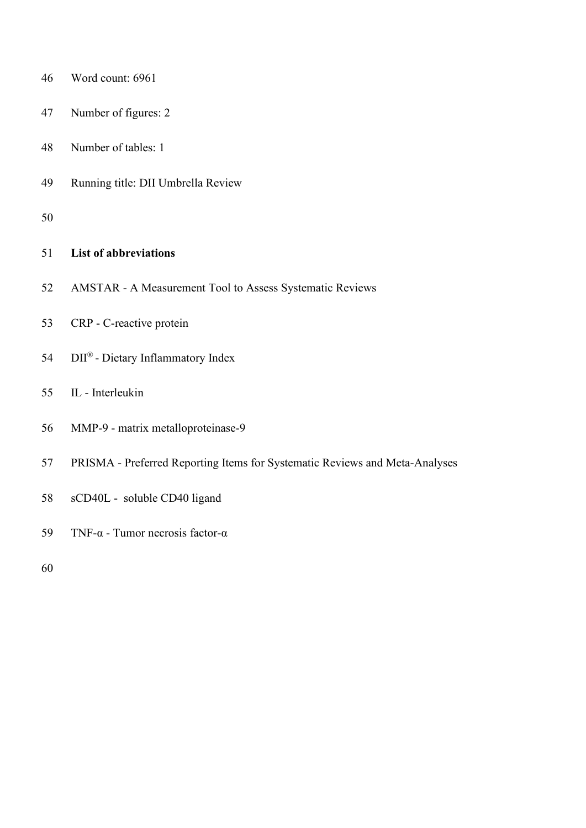| 46 | Word count: 6961                                                            |
|----|-----------------------------------------------------------------------------|
| 47 | Number of figures: 2                                                        |
| 48 | Number of tables: 1                                                         |
| 49 | Running title: DII Umbrella Review                                          |
| 50 |                                                                             |
| 51 | <b>List of abbreviations</b>                                                |
| 52 | AMSTAR - A Measurement Tool to Assess Systematic Reviews                    |
| 53 | CRP - C-reactive protein                                                    |
| 54 | DII® - Dietary Inflammatory Index                                           |
| 55 | IL - Interleukin                                                            |
| 56 | MMP-9 - matrix metalloproteinase-9                                          |
| 57 | PRISMA - Preferred Reporting Items for Systematic Reviews and Meta-Analyses |
| 58 | sCD40L - soluble CD40 ligand                                                |
| 59 | TNF- $\alpha$ - Tumor necrosis factor- $\alpha$                             |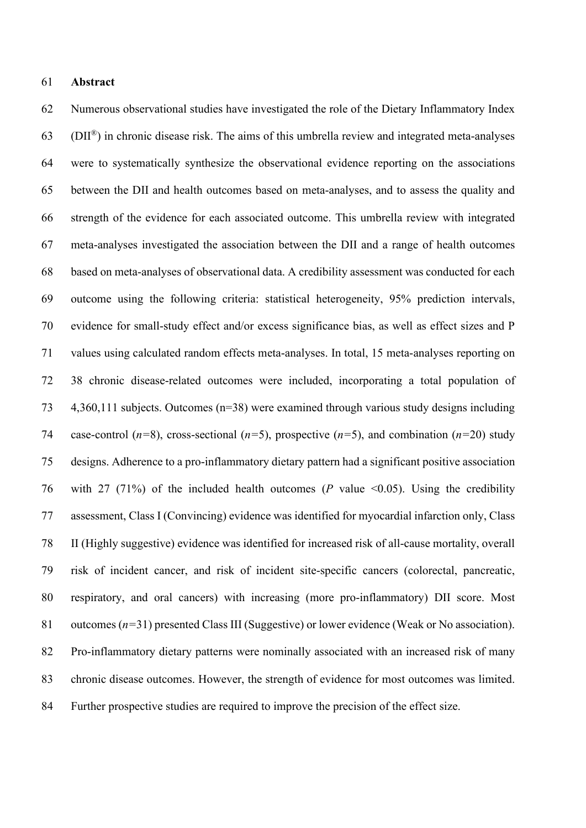# **Abstract**

 Numerous observational studies have investigated the role of the Dietary Inflammatory Index  $(63 \quad (DII^{\circledR})$  in chronic disease risk. The aims of this umbrella review and integrated meta-analyses were to systematically synthesize the observational evidence reporting on the associations between the DII and health outcomes based on meta-analyses, and to assess the quality and strength of the evidence for each associated outcome. This umbrella review with integrated meta-analyses investigated the association between the DII and a range of health outcomes based on meta-analyses of observational data. A credibility assessment was conducted for each outcome using the following criteria: statistical heterogeneity, 95% prediction intervals, evidence for small-study effect and/or excess significance bias, as well as effect sizes and P values using calculated random effects meta-analyses. In total, 15 meta-analyses reporting on 38 chronic disease-related outcomes were included, incorporating a total population of 4,360,111 subjects. Outcomes (n=38) were examined through various study designs including case-control (*n=*8), cross-sectional (*n=*5), prospective (*n=*5), and combination (*n=*20) study designs. Adherence to a pro-inflammatory dietary pattern had a significant positive association with 27 (71%) of the included health outcomes (*P* value <0.05). Using the credibility assessment, Class I (Convincing) evidence was identified for myocardial infarction only, Class II (Highly suggestive) evidence was identified for increased risk of all-cause mortality, overall risk of incident cancer, and risk of incident site-specific cancers (colorectal, pancreatic, respiratory, and oral cancers) with increasing (more pro-inflammatory) DII score. Most outcomes (*n=*31) presented Class III (Suggestive) or lower evidence (Weak or No association). Pro-inflammatory dietary patterns were nominally associated with an increased risk of many chronic disease outcomes. However, the strength of evidence for most outcomes was limited. Further prospective studies are required to improve the precision of the effect size.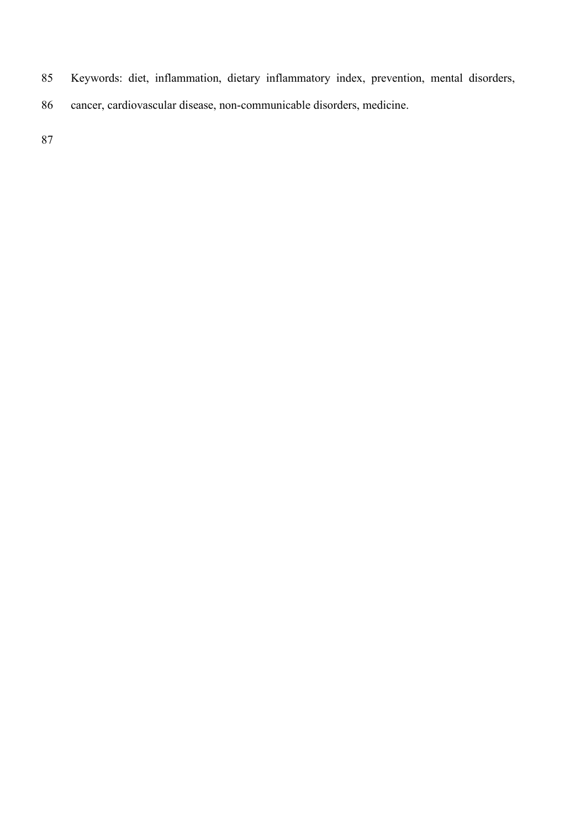- Keywords: diet, inflammation, dietary inflammatory index, prevention, mental disorders,
- cancer, cardiovascular disease, non-communicable disorders, medicine.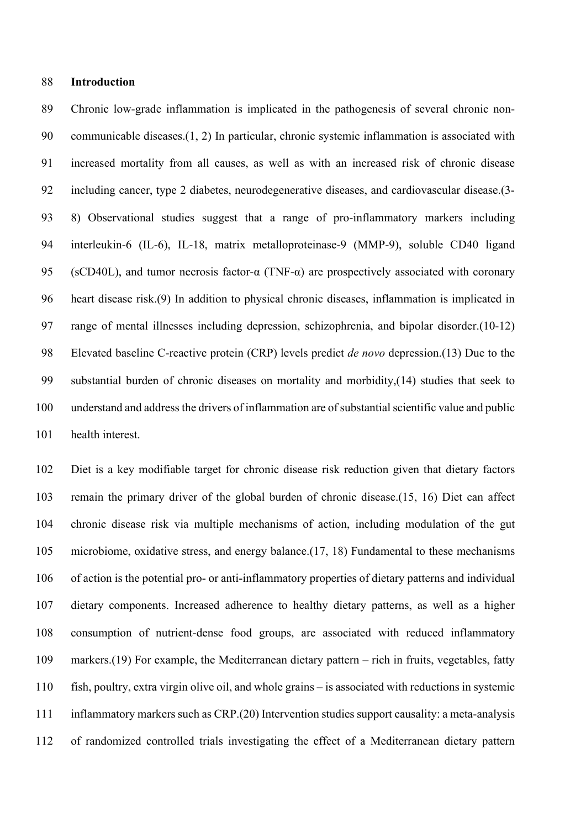# **Introduction**

 Chronic low-grade inflammation is implicated in the pathogenesis of several chronic non- communicable diseases.(1, 2) In particular, chronic systemic inflammation is associated with increased mortality from all causes, as well as with an increased risk of chronic disease including cancer, type 2 diabetes, neurodegenerative diseases, and cardiovascular disease.(3- 8) Observational studies suggest that a range of pro-inflammatory markers including interleukin-6 (IL-6), IL-18, matrix metalloproteinase-9 (MMP-9), soluble CD40 ligand 95 (sCD40L), and tumor necrosis factor- $\alpha$  (TNF- $\alpha$ ) are prospectively associated with coronary heart disease risk.(9) In addition to physical chronic diseases, inflammation is implicated in range of mental illnesses including depression, schizophrenia, and bipolar disorder.(10-12) Elevated baseline C-reactive protein (CRP) levels predict *de novo* depression.(13) Due to the substantial burden of chronic diseases on mortality and morbidity,(14) studies that seek to understand and address the drivers of inflammation are of substantial scientific value and public health interest.

 Diet is a key modifiable target for chronic disease risk reduction given that dietary factors remain the primary driver of the global burden of chronic disease.(15, 16) Diet can affect chronic disease risk via multiple mechanisms of action, including modulation of the gut microbiome, oxidative stress, and energy balance.(17, 18) Fundamental to these mechanisms of action is the potential pro- or anti-inflammatory properties of dietary patterns and individual dietary components. Increased adherence to healthy dietary patterns, as well as a higher consumption of nutrient-dense food groups, are associated with reduced inflammatory markers.(19) For example, the Mediterranean dietary pattern – rich in fruits, vegetables, fatty fish, poultry, extra virgin olive oil, and whole grains – is associated with reductions in systemic inflammatory markers such as CRP.(20) Intervention studies support causality: a meta-analysis of randomized controlled trials investigating the effect of a Mediterranean dietary pattern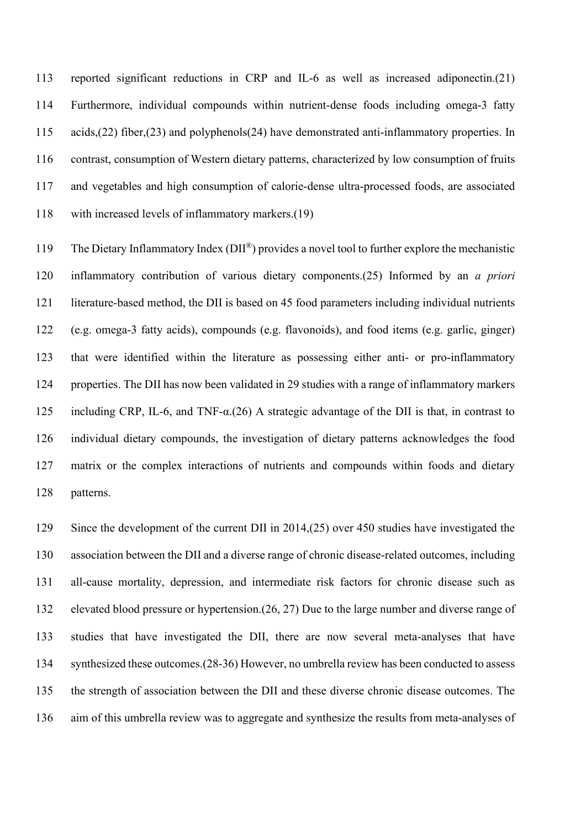reported significant reductions in CRP and IL-6 as well as increased adiponectin.(21) Furthermore, individual compounds within nutrient-dense foods including omega-3 fatty acids,(22) fiber,(23) and polyphenols(24) have demonstrated anti-inflammatory properties. In contrast, consumption of Western dietary patterns, characterized by low consumption of fruits and vegetables and high consumption of calorie-dense ultra-processed foods, are associated with increased levels of inflammatory markers.(19)

119 The Dietary Inflammatory Index ( $DI^{(8)}$ ) provides a novel tool to further explore the mechanistic inflammatory contribution of various dietary components.(25) Informed by an *a priori* literature-based method, the DII is based on 45 food parameters including individual nutrients (e.g. omega-3 fatty acids), compounds (e.g. flavonoids), and food items (e.g. garlic, ginger) that were identified within the literature as possessing either anti- or pro-inflammatory properties. The DII has now been validated in 29 studies with a range of inflammatory markers including CRP, IL-6, and TNF-α.(26) A strategic advantage of the DII is that, in contrast to individual dietary compounds, the investigation of dietary patterns acknowledges the food matrix or the complex interactions of nutrients and compounds within foods and dietary patterns.

 Since the development of the current DII in 2014,(25) over 450 studies have investigated the association between the DII and a diverse range of chronic disease-related outcomes, including all-cause mortality, depression, and intermediate risk factors for chronic disease such as elevated blood pressure or hypertension.(26, 27) Due to the large number and diverse range of studies that have investigated the DII, there are now several meta-analyses that have synthesized these outcomes.(28-36) However, no umbrella review has been conducted to assess the strength of association between the DII and these diverse chronic disease outcomes. The aim of this umbrella review was to aggregate and synthesize the results from meta-analyses of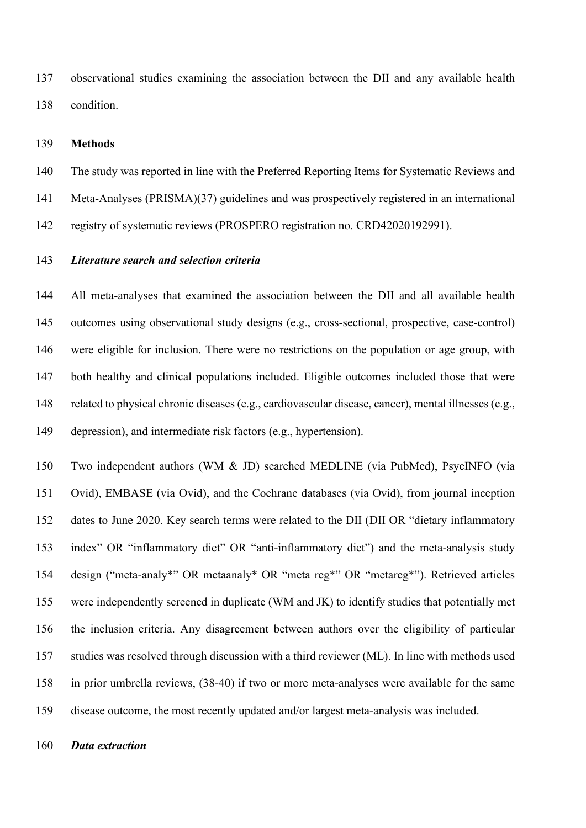observational studies examining the association between the DII and any available health condition.

#### **Methods**

The study was reported in line with the Preferred Reporting Items for Systematic Reviews and

Meta-Analyses (PRISMA)(37) guidelines and was prospectively registered in an international

registry of systematic reviews (PROSPERO registration no. CRD42020192991).

## *Literature search and selection criteria*

 All meta-analyses that examined the association between the DII and all available health outcomes using observational study designs (e.g., cross-sectional, prospective, case-control) were eligible for inclusion. There were no restrictions on the population or age group, with both healthy and clinical populations included. Eligible outcomes included those that were related to physical chronic diseases (e.g., cardiovascular disease, cancer), mental illnesses (e.g., depression), and intermediate risk factors (e.g., hypertension).

 Two independent authors (WM & JD) searched MEDLINE (via PubMed), PsycINFO (via Ovid), EMBASE (via Ovid), and the Cochrane databases (via Ovid), from journal inception dates to June 2020. Key search terms were related to the DII (DII OR "dietary inflammatory index" OR "inflammatory diet" OR "anti-inflammatory diet") and the meta-analysis study design ("meta-analy\*" OR metaanaly\* OR "meta reg\*" OR "metareg\*"). Retrieved articles were independently screened in duplicate (WM and JK) to identify studies that potentially met the inclusion criteria. Any disagreement between authors over the eligibility of particular studies was resolved through discussion with a third reviewer (ML). In line with methods used in prior umbrella reviews, (38-40) if two or more meta-analyses were available for the same disease outcome, the most recently updated and/or largest meta-analysis was included.

*Data extraction*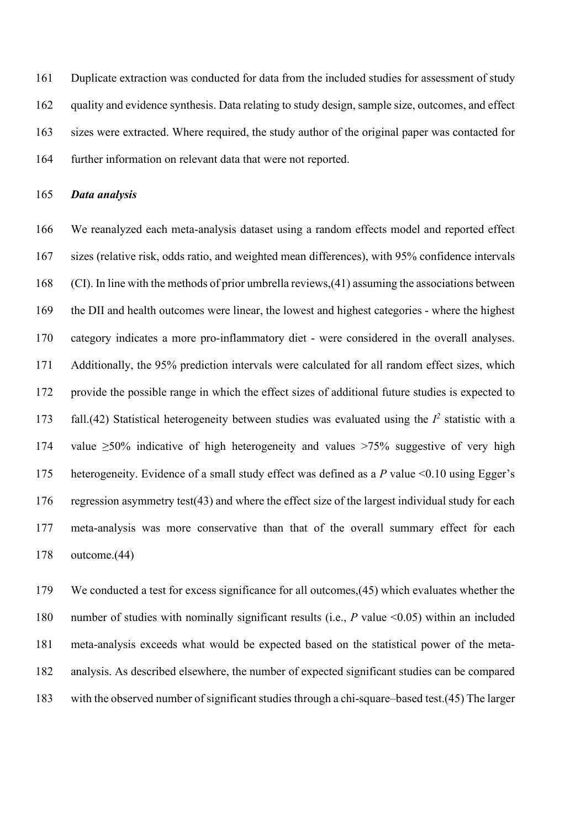Duplicate extraction was conducted for data from the included studies for assessment of study quality and evidence synthesis. Data relating to study design, sample size, outcomes, and effect sizes were extracted. Where required, the study author of the original paper was contacted for further information on relevant data that were not reported.

*Data analysis*

 We reanalyzed each meta-analysis dataset using a random effects model and reported effect sizes (relative risk, odds ratio, and weighted mean differences), with 95% confidence intervals (CI). In line with the methods of prior umbrella reviews,(41) assuming the associations between the DII and health outcomes were linear, the lowest and highest categories - where the highest category indicates a more pro-inflammatory diet - were considered in the overall analyses. Additionally, the 95% prediction intervals were calculated for all random effect sizes, which provide the possible range in which the effect sizes of additional future studies is expected to 173 fall.(42) Statistical heterogeneity between studies was evaluated using the  $I^2$  statistic with a 174 value >50% indicative of high heterogeneity and values >75% suggestive of very high heterogeneity. Evidence of a small study effect was defined as a *P* value <0.10 using Egger's regression asymmetry test(43) and where the effect size of the largest individual study for each meta-analysis was more conservative than that of the overall summary effect for each outcome.(44)

 We conducted a test for excess significance for all outcomes,(45) which evaluates whether the number of studies with nominally significant results (i.e., *P* value <0.05) within an included meta-analysis exceeds what would be expected based on the statistical power of the meta- analysis. As described elsewhere, the number of expected significant studies can be compared with the observed number of significant studies through a chi-square–based test.(45) The larger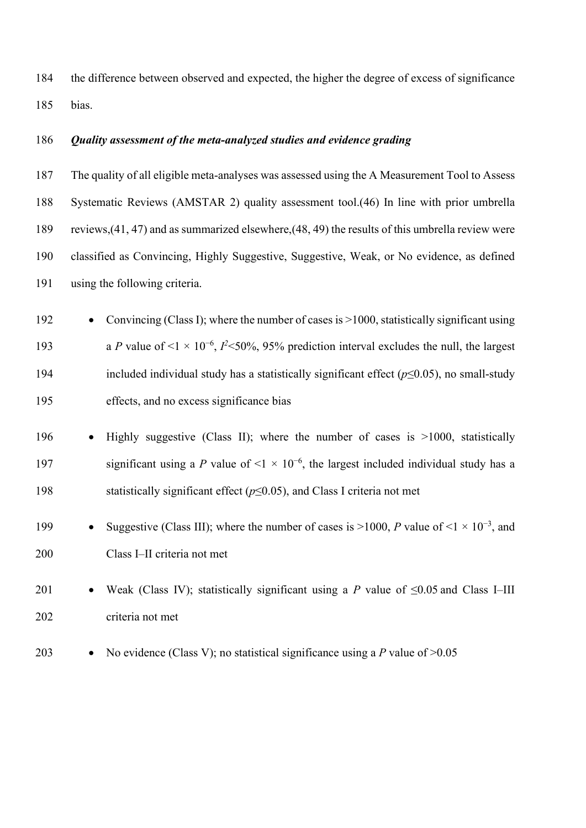the difference between observed and expected, the higher the degree of excess of significance bias.

# *Quality assessment of the meta-analyzed studies and evidence grading*

 The quality of all eligible meta-analyses was assessed using the A Measurement Tool to Assess Systematic Reviews (AMSTAR 2) quality assessment tool.(46) In line with prior umbrella reviews,(41, 47) and as summarized elsewhere,(48, 49) the results of this umbrella review were classified as Convincing, Highly Suggestive, Suggestive, Weak, or No evidence, as defined using the following criteria.

 • Convincing (Class I); where the number of cases is >1000, statistically significant using 193 a *P* value of <1 × 10<sup>-6</sup>,  *<50%, 95% prediction interval excludes the null, the largest*  included individual study has a statistically significant effect (*p*≤0.05), no small-study effects, and no excess significance bias

# • Highly suggestive (Class II); where the number of cases is >1000, statistically significant using a *P* value of <1  $\times$  10<sup>-6</sup>, the largest included individual study has a statistically significant effect (*p*≤0.05), and Class I criteria not met

• Suggestive (Class III); where the number of cases is >1000, *P* value of <1 × 10<sup>−</sup><sup>3</sup> , and Class I–II criteria not met

# • Weak (Class IV); statistically significant using a *P* value of ≤0.05 and Class I–III criteria not met

- 
- No evidence (Class V); no statistical significance using a *P* value of >0.05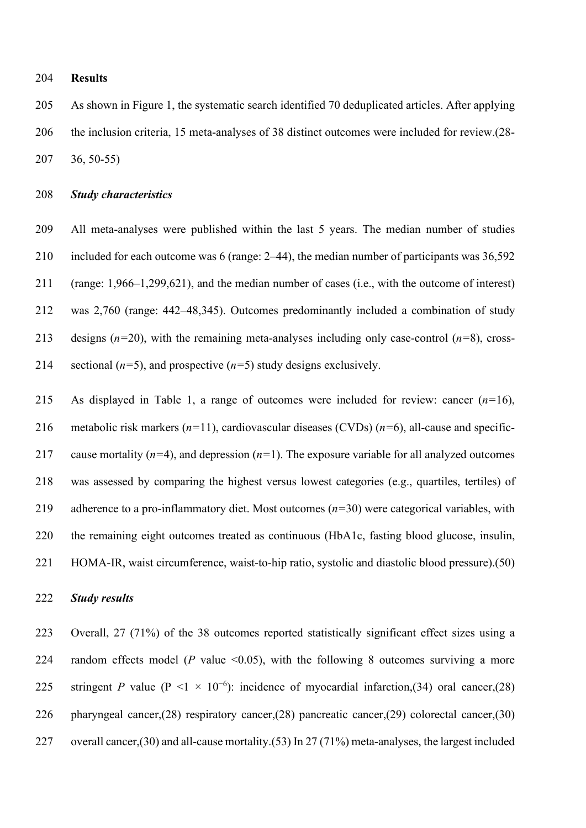#### **Results**

 As shown in Figure 1, the systematic search identified 70 deduplicated articles. After applying the inclusion criteria, 15 meta-analyses of 38 distinct outcomes were included for review.(28- 36, 50-55)

## *Study characteristics*

 All meta-analyses were published within the last 5 years. The median number of studies included for each outcome was 6 (range: 2–44), the median number of participants was 36,592 (range: 1,966–1,299,621), and the median number of cases (i.e., with the outcome of interest) was 2,760 (range: 442–48,345). Outcomes predominantly included a combination of study designs (*n=*20), with the remaining meta-analyses including only case-control (*n=*8), cross-214 sectional  $(n=5)$ , and prospective  $(n=5)$  study designs exclusively.

 As displayed in Table 1, a range of outcomes were included for review: cancer (*n=*16), metabolic risk markers (*n=*11), cardiovascular diseases (CVDs) (*n=*6), all-cause and specific- cause mortality (*n=*4), and depression (*n=*1). The exposure variable for all analyzed outcomes was assessed by comparing the highest versus lowest categories (e.g., quartiles, tertiles) of adherence to a pro-inflammatory diet. Most outcomes (*n=*30) were categorical variables, with the remaining eight outcomes treated as continuous (HbA1c, fasting blood glucose, insulin, HOMA-IR, waist circumference, waist-to-hip ratio, systolic and diastolic blood pressure).(50)

#### *Study results*

 Overall, 27 (71%) of the 38 outcomes reported statistically significant effect sizes using a 224 random effects model ( $P$  value  $\leq 0.05$ ), with the following 8 outcomes surviving a more 225 stringent *P* value (P <1  $\times$  10<sup>-6</sup>): incidence of myocardial infarction,(34) oral cancer,(28) pharyngeal cancer,(28) respiratory cancer,(28) pancreatic cancer,(29) colorectal cancer,(30) 227 overall cancer,(30) and all-cause mortality.(53) In 27 (71%) meta-analyses, the largest included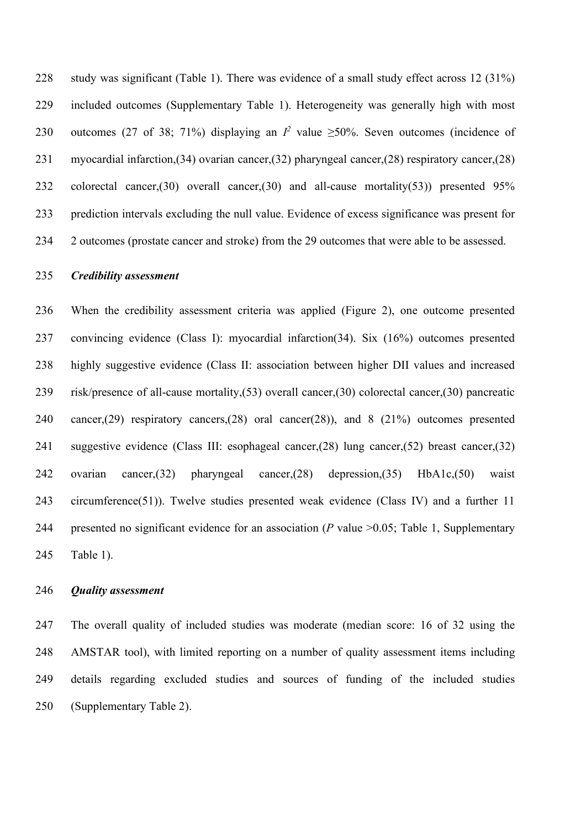study was significant (Table 1). There was evidence of a small study effect across 12 (31%) included outcomes (Supplementary Table 1). Heterogeneity was generally high with most 230 outcomes (27 of 38; 71%) displaying an  $I^2$  value ≥50%. Seven outcomes (incidence of myocardial infarction,(34) ovarian cancer,(32) pharyngeal cancer,(28) respiratory cancer,(28) colorectal cancer,(30) overall cancer,(30) and all-cause mortality(53)) presented 95% prediction intervals excluding the null value. Evidence of excess significance was present for 2 outcomes (prostate cancer and stroke) from the 29 outcomes that were able to be assessed.

# *Credibility assessment*

 When the credibility assessment criteria was applied (Figure 2), one outcome presented convincing evidence (Class I): myocardial infarction(34). Six (16%) outcomes presented highly suggestive evidence (Class II: association between higher DII values and increased risk/presence of all-cause mortality,(53) overall cancer,(30) colorectal cancer,(30) pancreatic cancer,(29) respiratory cancers,(28) oral cancer(28)), and 8 (21%) outcomes presented suggestive evidence (Class III: esophageal cancer,(28) lung cancer,(52) breast cancer,(32) ovarian cancer,(32) pharyngeal cancer,(28) depression,(35) HbA1c,(50) waist circumference(51)). Twelve studies presented weak evidence (Class IV) and a further 11 presented no significant evidence for an association (*P* value >0.05; Table 1, Supplementary Table 1).

#### *Quality assessment*

 The overall quality of included studies was moderate (median score: 16 of 32 using the AMSTAR tool), with limited reporting on a number of quality assessment items including details regarding excluded studies and sources of funding of the included studies (Supplementary Table 2).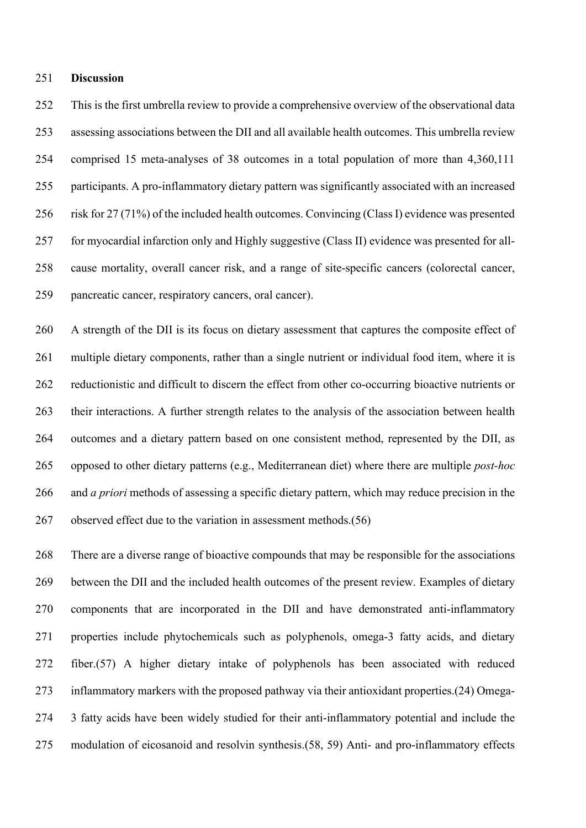#### **Discussion**

 This is the first umbrella review to provide a comprehensive overview of the observational data assessing associations between the DII and all available health outcomes. This umbrella review comprised 15 meta-analyses of 38 outcomes in a total population of more than 4,360,111 participants. A pro-inflammatory dietary pattern was significantly associated with an increased risk for 27 (71%) of the included health outcomes. Convincing (Class I) evidence was presented for myocardial infarction only and Highly suggestive (Class II) evidence was presented for all- cause mortality, overall cancer risk, and a range of site-specific cancers (colorectal cancer, pancreatic cancer, respiratory cancers, oral cancer).

 A strength of the DII is its focus on dietary assessment that captures the composite effect of multiple dietary components, rather than a single nutrient or individual food item, where it is reductionistic and difficult to discern the effect from other co-occurring bioactive nutrients or their interactions. A further strength relates to the analysis of the association between health outcomes and a dietary pattern based on one consistent method, represented by the DII, as opposed to other dietary patterns (e.g., Mediterranean diet) where there are multiple *post-hoc* and *a priori* methods of assessing a specific dietary pattern, which may reduce precision in the 267 observed effect due to the variation in assessment methods.(56)

 There are a diverse range of bioactive compounds that may be responsible for the associations between the DII and the included health outcomes of the present review. Examples of dietary components that are incorporated in the DII and have demonstrated anti-inflammatory properties include phytochemicals such as polyphenols, omega-3 fatty acids, and dietary fiber.(57) A higher dietary intake of polyphenols has been associated with reduced inflammatory markers with the proposed pathway via their antioxidant properties.(24) Omega- 3 fatty acids have been widely studied for their anti-inflammatory potential and include the modulation of eicosanoid and resolvin synthesis.(58, 59) Anti- and pro-inflammatory effects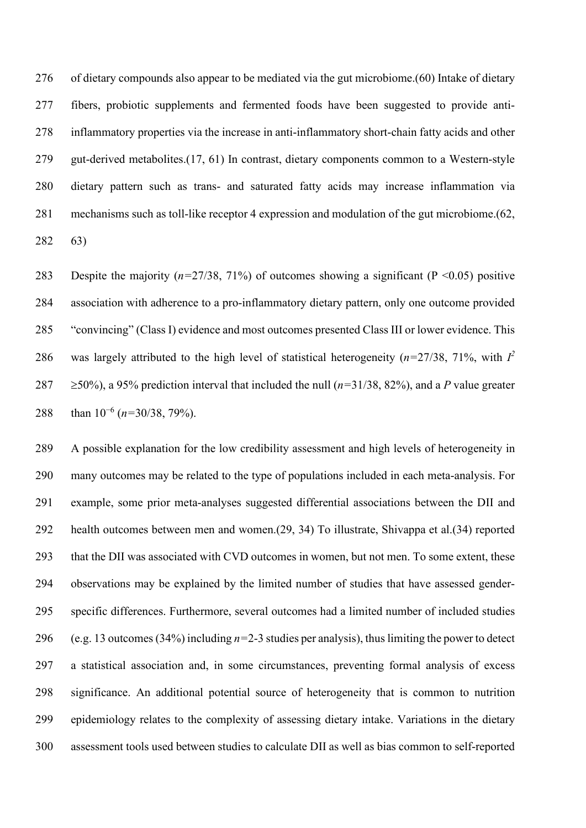of dietary compounds also appear to be mediated via the gut microbiome.(60) Intake of dietary fibers, probiotic supplements and fermented foods have been suggested to provide anti- inflammatory properties via the increase in anti-inflammatory short-chain fatty acids and other gut-derived metabolites.(17, 61) In contrast, dietary components common to a Western-style dietary pattern such as trans- and saturated fatty acids may increase inflammation via mechanisms such as toll-like receptor 4 expression and modulation of the gut microbiome.(62, 63)

 Despite the majority (*n=*27/38, 71%) of outcomes showing a significant (P <0.05) positive association with adherence to a pro-inflammatory dietary pattern, only one outcome provided "convincing" (Class I) evidence and most outcomes presented Class III or lower evidence. This 286 was largely attributed to the high level of statistical heterogeneity ( $n=27/38$ , 71%, with  $I^2$  $\geq$  50%), a 95% prediction interval that included the null ( $n=31/38$ , 82%), and a *P* value greater 288 than 10<sup>-6</sup> (*n*=30/38, 79%).

 A possible explanation for the low credibility assessment and high levels of heterogeneity in many outcomes may be related to the type of populations included in each meta-analysis. For example, some prior meta-analyses suggested differential associations between the DII and health outcomes between men and women.(29, 34) To illustrate, Shivappa et al.(34) reported that the DII was associated with CVD outcomes in women, but not men. To some extent, these observations may be explained by the limited number of studies that have assessed gender- specific differences. Furthermore, several outcomes had a limited number of included studies (e.g. 13 outcomes (34%) including *n=*2-3 studies per analysis), thus limiting the power to detect a statistical association and, in some circumstances, preventing formal analysis of excess significance. An additional potential source of heterogeneity that is common to nutrition epidemiology relates to the complexity of assessing dietary intake. Variations in the dietary assessment tools used between studies to calculate DII as well as bias common to self-reported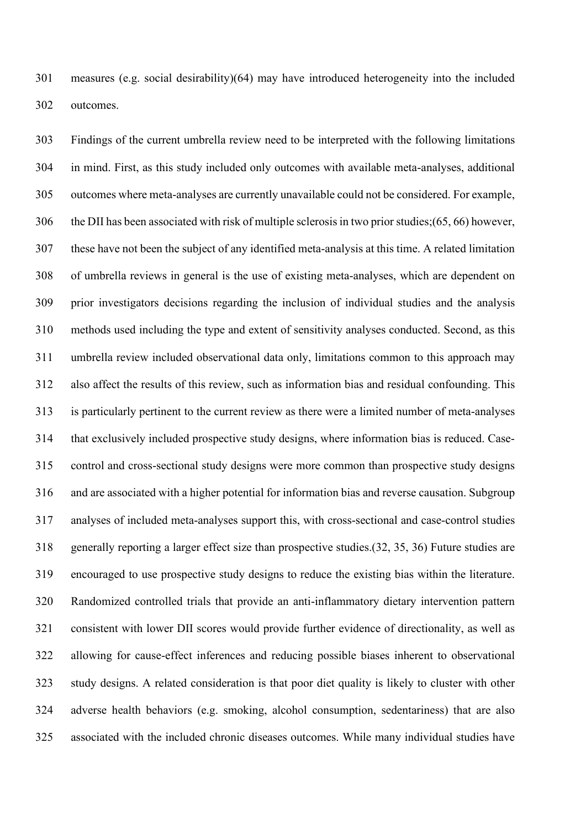measures (e.g. social desirability)(64) may have introduced heterogeneity into the included outcomes.

 Findings of the current umbrella review need to be interpreted with the following limitations in mind. First, as this study included only outcomes with available meta-analyses, additional outcomes where meta-analyses are currently unavailable could not be considered. For example, the DII has been associated with risk of multiple sclerosis in two prior studies;(65, 66) however, these have not been the subject of any identified meta-analysis at this time. A related limitation of umbrella reviews in general is the use of existing meta-analyses, which are dependent on prior investigators decisions regarding the inclusion of individual studies and the analysis methods used including the type and extent of sensitivity analyses conducted. Second, as this umbrella review included observational data only, limitations common to this approach may also affect the results of this review, such as information bias and residual confounding. This is particularly pertinent to the current review as there were a limited number of meta-analyses that exclusively included prospective study designs, where information bias is reduced. Case- control and cross-sectional study designs were more common than prospective study designs and are associated with a higher potential for information bias and reverse causation. Subgroup analyses of included meta-analyses support this, with cross-sectional and case-control studies generally reporting a larger effect size than prospective studies.(32, 35, 36) Future studies are encouraged to use prospective study designs to reduce the existing bias within the literature. Randomized controlled trials that provide an anti-inflammatory dietary intervention pattern consistent with lower DII scores would provide further evidence of directionality, as well as allowing for cause-effect inferences and reducing possible biases inherent to observational study designs. A related consideration is that poor diet quality is likely to cluster with other adverse health behaviors (e.g. smoking, alcohol consumption, sedentariness) that are also associated with the included chronic diseases outcomes. While many individual studies have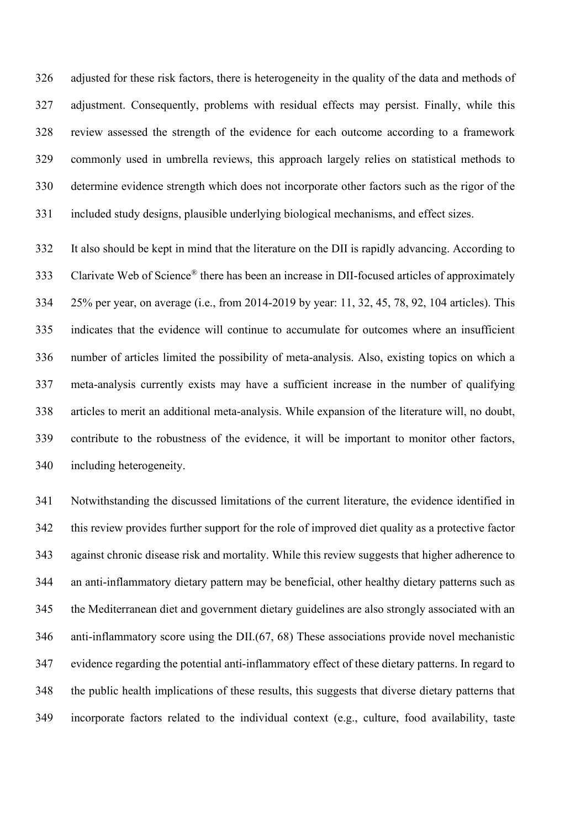adjusted for these risk factors, there is heterogeneity in the quality of the data and methods of adjustment. Consequently, problems with residual effects may persist. Finally, while this review assessed the strength of the evidence for each outcome according to a framework commonly used in umbrella reviews, this approach largely relies on statistical methods to determine evidence strength which does not incorporate other factors such as the rigor of the included study designs, plausible underlying biological mechanisms, and effect sizes.

 It also should be kept in mind that the literature on the DII is rapidly advancing. According to 333 Clarivate Web of Science<sup>®</sup> there has been an increase in DII-focused articles of approximately 25% per year, on average (i.e., from 2014-2019 by year: 11, 32, 45, 78, 92, 104 articles). This indicates that the evidence will continue to accumulate for outcomes where an insufficient number of articles limited the possibility of meta-analysis. Also, existing topics on which a meta-analysis currently exists may have a sufficient increase in the number of qualifying articles to merit an additional meta-analysis. While expansion of the literature will, no doubt, contribute to the robustness of the evidence, it will be important to monitor other factors, including heterogeneity.

 Notwithstanding the discussed limitations of the current literature, the evidence identified in this review provides further support for the role of improved diet quality as a protective factor against chronic disease risk and mortality. While this review suggests that higher adherence to an anti-inflammatory dietary pattern may be beneficial, other healthy dietary patterns such as the Mediterranean diet and government dietary guidelines are also strongly associated with an anti-inflammatory score using the DII.(67, 68) These associations provide novel mechanistic evidence regarding the potential anti-inflammatory effect of these dietary patterns. In regard to the public health implications of these results, this suggests that diverse dietary patterns that incorporate factors related to the individual context (e.g., culture, food availability, taste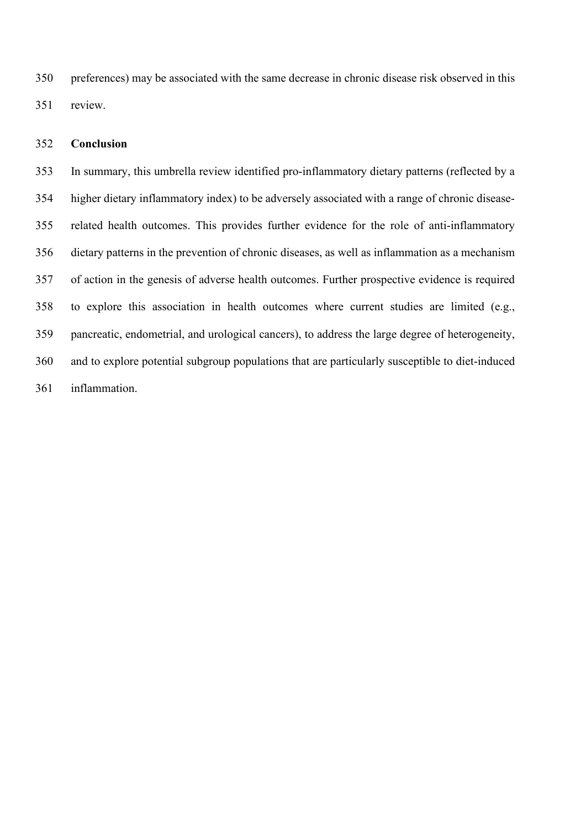preferences) may be associated with the same decrease in chronic disease risk observed in this review.

# **Conclusion**

 In summary, this umbrella review identified pro-inflammatory dietary patterns (reflected by a higher dietary inflammatory index) to be adversely associated with a range of chronic disease- related health outcomes. This provides further evidence for the role of anti-inflammatory dietary patterns in the prevention of chronic diseases, as well as inflammation as a mechanism of action in the genesis of adverse health outcomes. Further prospective evidence is required to explore this association in health outcomes where current studies are limited (e.g., pancreatic, endometrial, and urological cancers), to address the large degree of heterogeneity, and to explore potential subgroup populations that are particularly susceptible to diet-induced inflammation.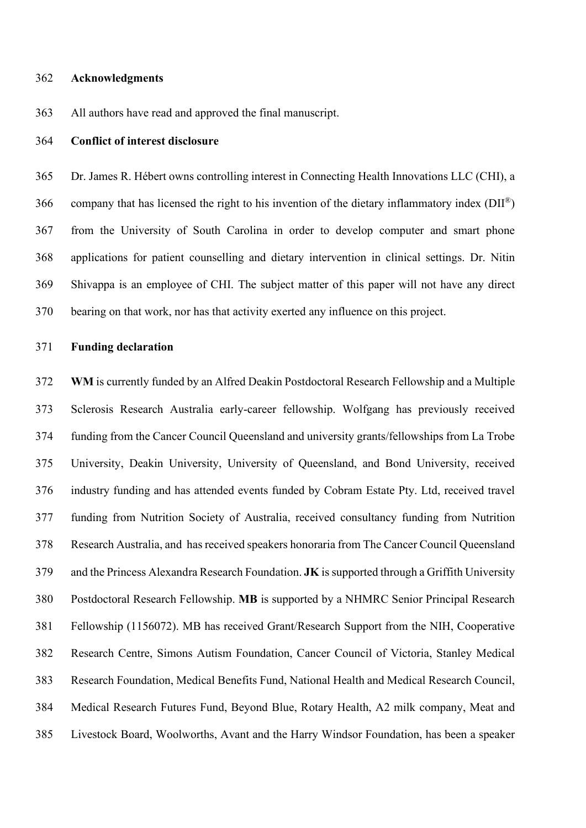#### **Acknowledgments**

All authors have read and approved the final manuscript.

#### **Conflict of interest disclosure**

 Dr. James R. Hébert owns controlling interest in Connecting Health Innovations LLC (CHI), a 366 company that has licensed the right to his invention of the dietary inflammatory index  $(DII^{\circledast})$  from the University of South Carolina in order to develop computer and smart phone applications for patient counselling and dietary intervention in clinical settings. Dr. Nitin Shivappa is an employee of CHI. The subject matter of this paper will not have any direct bearing on that work, nor has that activity exerted any influence on this project.

#### **Funding declaration**

 **WM** is currently funded by an Alfred Deakin Postdoctoral Research Fellowship and a Multiple Sclerosis Research Australia early-career fellowship. Wolfgang has previously received funding from the Cancer Council Queensland and university grants/fellowships from La Trobe University, Deakin University, University of Queensland, and Bond University, received industry funding and has attended events funded by Cobram Estate Pty. Ltd, received travel funding from Nutrition Society of Australia, received consultancy funding from Nutrition Research Australia, and has received speakers honoraria from The Cancer Council Queensland and the Princess Alexandra Research Foundation. **JK** is supported through a Griffith University Postdoctoral Research Fellowship. **MB** is supported by a NHMRC Senior Principal Research Fellowship (1156072). MB has received Grant/Research Support from the NIH, Cooperative Research Centre, Simons Autism Foundation, Cancer Council of Victoria, Stanley Medical Research Foundation, Medical Benefits Fund, National Health and Medical Research Council, Medical Research Futures Fund, Beyond Blue, Rotary Health, A2 milk company, Meat and Livestock Board, Woolworths, Avant and the Harry Windsor Foundation, has been a speaker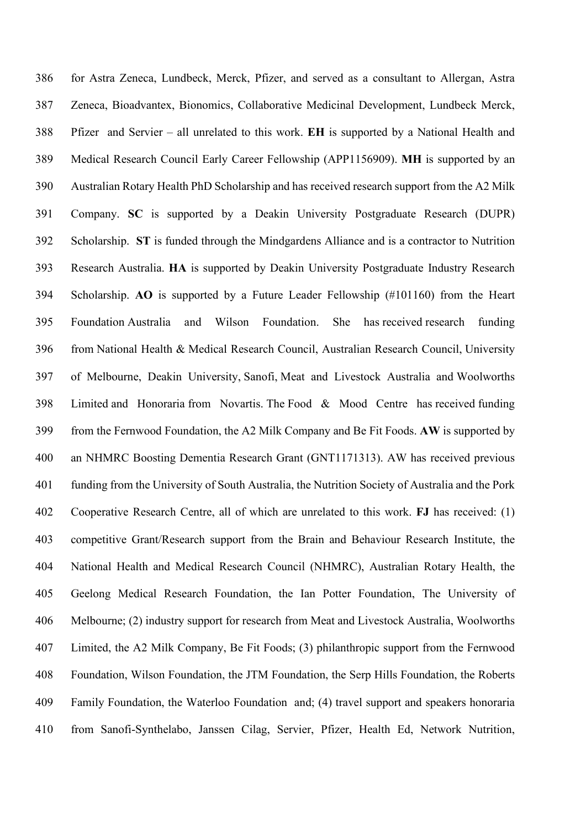for Astra Zeneca, Lundbeck, Merck, Pfizer, and served as a consultant to Allergan, Astra Zeneca, Bioadvantex, Bionomics, Collaborative Medicinal Development, Lundbeck Merck, Pfizer and Servier – all unrelated to this work. **EH** is supported by a National Health and Medical Research Council Early Career Fellowship (APP1156909). **MH** is supported by an Australian Rotary Health PhD Scholarship and has received research support from the A2 Milk Company. **SC** is supported by a Deakin University Postgraduate Research (DUPR) Scholarship. **ST** is funded through the Mindgardens Alliance and is a contractor to Nutrition Research Australia. **HA** is supported by Deakin University Postgraduate Industry Research Scholarship. **AO** is supported by a Future Leader Fellowship (#101160) from the Heart Foundation Australia and Wilson Foundation. She has received research funding from National Health & Medical Research Council, Australian Research Council, University of Melbourne, Deakin University, Sanofi, Meat and Livestock Australia and Woolworths Limited and Honoraria from Novartis. The Food & Mood Centre has received funding from the Fernwood Foundation, the A2 Milk Company and Be Fit Foods. **AW** is supported by an NHMRC Boosting Dementia Research Grant (GNT1171313). AW has received previous funding from the University of South Australia, the Nutrition Society of Australia and the Pork Cooperative Research Centre, all of which are unrelated to this work. **FJ** has received: (1) competitive Grant/Research support from the Brain and Behaviour Research Institute, the National Health and Medical Research Council (NHMRC), Australian Rotary Health, the Geelong Medical Research Foundation, the Ian Potter Foundation, The University of Melbourne; (2) industry support for research from Meat and Livestock Australia, Woolworths Limited, the A2 Milk Company, Be Fit Foods; (3) philanthropic support from the Fernwood Foundation, Wilson Foundation, the JTM Foundation, the Serp Hills Foundation, the Roberts Family Foundation, the Waterloo Foundation and; (4) travel support and speakers honoraria from Sanofi-Synthelabo, Janssen Cilag, Servier, Pfizer, Health Ed, Network Nutrition,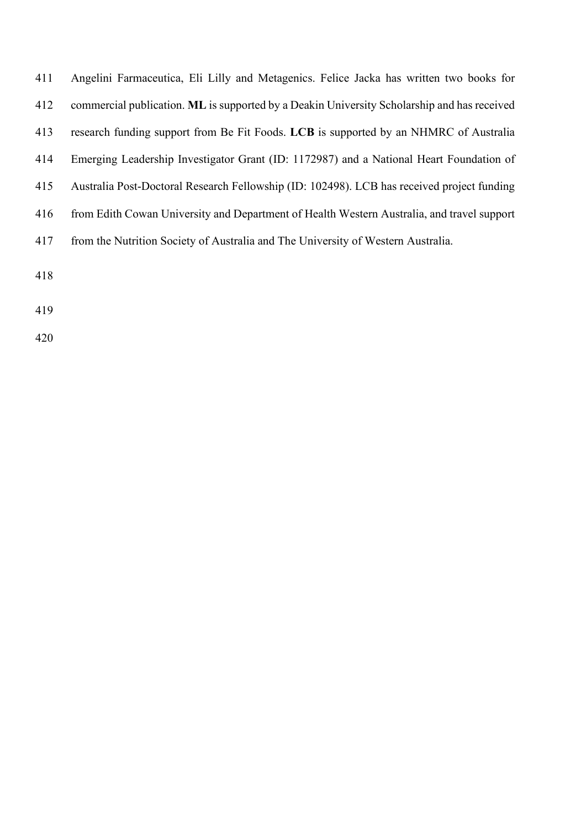| 411 | Angelini Farmaceutica, Eli Lilly and Metagenics. Felice Jacka has written two books for     |
|-----|---------------------------------------------------------------------------------------------|
| 412 | commercial publication. ML is supported by a Deakin University Scholarship and has received |
| 413 | research funding support from Be Fit Foods. LCB is supported by an NHMRC of Australia       |
| 414 | Emerging Leadership Investigator Grant (ID: 1172987) and a National Heart Foundation of     |
| 415 | Australia Post-Doctoral Research Fellowship (ID: 102498). LCB has received project funding  |
| 416 | from Edith Cowan University and Department of Health Western Australia, and travel support  |
| 417 | from the Nutrition Society of Australia and The University of Western Australia.            |
| 418 |                                                                                             |
|     |                                                                                             |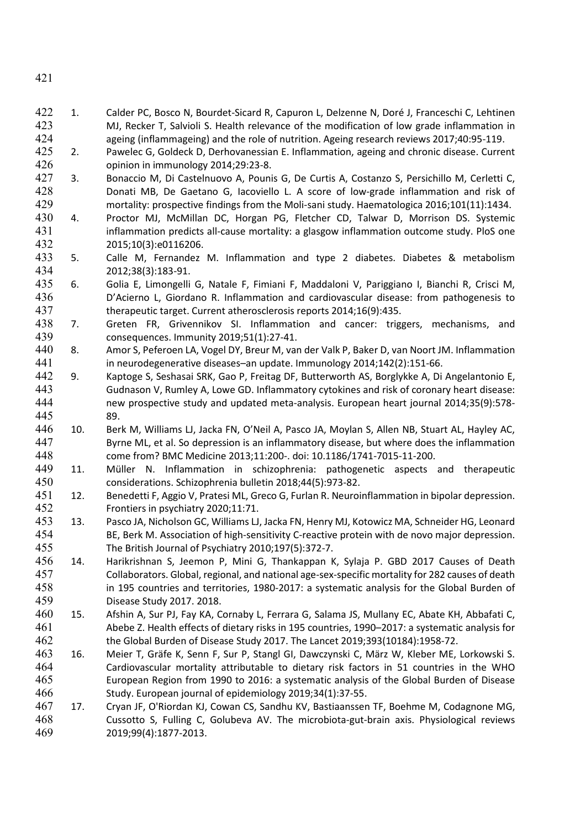- 1. Calder PC, Bosco N, Bourdet-Sicard R, Capuron L, Delzenne N, Doré J, Franceschi C, Lehtinen MJ, Recker T, Salvioli S. Health relevance of the modification of low grade inflammation in ageing (inflammageing) and the role of nutrition. Ageing research reviews 2017;40:95-119.
- 2. Pawelec G, Goldeck D, Derhovanessian E. Inflammation, ageing and chronic disease. Current opinion in immunology 2014;29:23-8.
- 3. Bonaccio M, Di Castelnuovo A, Pounis G, De Curtis A, Costanzo S, Persichillo M, Cerletti C, Donati MB, De Gaetano G, Iacoviello L. A score of low-grade inflammation and risk of mortality: prospective findings from the Moli-sani study. Haematologica 2016;101(11):1434.
- 4. Proctor MJ, McMillan DC, Horgan PG, Fletcher CD, Talwar D, Morrison DS. Systemic inflammation predicts all-cause mortality: a glasgow inflammation outcome study. PloS one 2015;10(3):e0116206.
- 5. Calle M, Fernandez M. Inflammation and type 2 diabetes. Diabetes & metabolism 2012;38(3):183-91.
- 6. Golia E, Limongelli G, Natale F, Fimiani F, Maddaloni V, Pariggiano I, Bianchi R, Crisci M, D'Acierno L, Giordano R. Inflammation and cardiovascular disease: from pathogenesis to therapeutic target. Current atherosclerosis reports 2014;16(9):435.
- 7. Greten FR, Grivennikov SI. Inflammation and cancer: triggers, mechanisms, and consequences. Immunity 2019;51(1):27-41.
- 8. Amor S, Peferoen LA, Vogel DY, Breur M, van der Valk P, Baker D, van Noort JM. Inflammation in neurodegenerative diseases–an update. Immunology 2014;142(2):151-66.
- 9. Kaptoge S, Seshasai SRK, Gao P, Freitag DF, Butterworth AS, Borglykke A, Di Angelantonio E, Gudnason V, Rumley A, Lowe GD. Inflammatory cytokines and risk of coronary heart disease: new prospective study and updated meta-analysis. European heart journal 2014;35(9):578- 89.
- 10. Berk M, Williams LJ, Jacka FN, O'Neil A, Pasco JA, Moylan S, Allen NB, Stuart AL, Hayley AC, Byrne ML, et al. So depression is an inflammatory disease, but where does the inflammation come from? BMC Medicine 2013;11:200-. doi: 10.1186/1741-7015-11-200.
- 11. Müller N. Inflammation in schizophrenia: pathogenetic aspects and therapeutic considerations. Schizophrenia bulletin 2018;44(5):973-82.
- 12. Benedetti F, Aggio V, Pratesi ML, Greco G, Furlan R. Neuroinflammation in bipolar depression. Frontiers in psychiatry 2020;11:71.
- 13. Pasco JA, Nicholson GC, Williams LJ, Jacka FN, Henry MJ, Kotowicz MA, Schneider HG, Leonard BE, Berk M. Association of high-sensitivity C-reactive protein with de novo major depression. The British Journal of Psychiatry 2010;197(5):372-7.
- 14. Harikrishnan S, Jeemon P, Mini G, Thankappan K, Sylaja P. GBD 2017 Causes of Death Collaborators. Global, regional, and national age-sex-specific mortality for 282 causes of death in 195 countries and territories, 1980-2017: a systematic analysis for the Global Burden of Disease Study 2017. 2018.
- 15. Afshin A, Sur PJ, Fay KA, Cornaby L, Ferrara G, Salama JS, Mullany EC, Abate KH, Abbafati C, Abebe Z. Health effects of dietary risks in 195 countries, 1990–2017: a systematic analysis for the Global Burden of Disease Study 2017. The Lancet 2019;393(10184):1958-72.
- 16. Meier T, Gräfe K, Senn F, Sur P, Stangl GI, Dawczynski C, März W, Kleber ME, Lorkowski S. Cardiovascular mortality attributable to dietary risk factors in 51 countries in the WHO European Region from 1990 to 2016: a systematic analysis of the Global Burden of Disease Study. European journal of epidemiology 2019;34(1):37-55.
- 17. Cryan JF, O'Riordan KJ, Cowan CS, Sandhu KV, Bastiaanssen TF, Boehme M, Codagnone MG, Cussotto S, Fulling C, Golubeva AV. The microbiota-gut-brain axis. Physiological reviews 2019;99(4):1877-2013.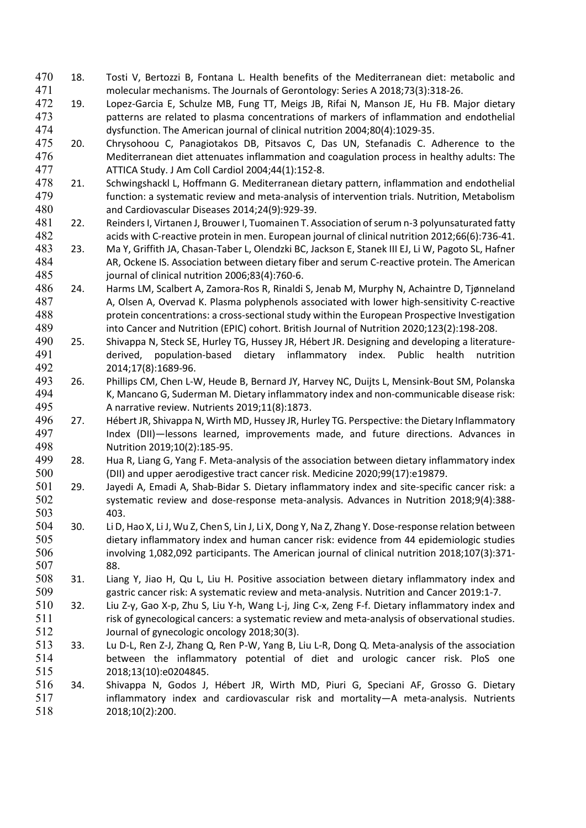- 18. Tosti V, Bertozzi B, Fontana L. Health benefits of the Mediterranean diet: metabolic and molecular mechanisms. The Journals of Gerontology: Series A 2018;73(3):318-26.
- 19. Lopez-Garcia E, Schulze MB, Fung TT, Meigs JB, Rifai N, Manson JE, Hu FB. Major dietary patterns are related to plasma concentrations of markers of inflammation and endothelial dysfunction. The American journal of clinical nutrition 2004;80(4):1029-35.
- 20. Chrysohoou C, Panagiotakos DB, Pitsavos C, Das UN, Stefanadis C. Adherence to the Mediterranean diet attenuates inflammation and coagulation process in healthy adults: The ATTICA Study. J Am Coll Cardiol 2004;44(1):152-8.
- 21. Schwingshackl L, Hoffmann G. Mediterranean dietary pattern, inflammation and endothelial function: a systematic review and meta-analysis of intervention trials. Nutrition, Metabolism and Cardiovascular Diseases 2014;24(9):929-39.
- 22. Reinders I, Virtanen J, Brouwer I, Tuomainen T. Association of serum n-3 polyunsaturated fatty acids with C-reactive protein in men. European journal of clinical nutrition 2012;66(6):736-41.
- 23. Ma Y, Griffith JA, Chasan-Taber L, Olendzki BC, Jackson E, Stanek III EJ, Li W, Pagoto SL, Hafner AR, Ockene IS. Association between dietary fiber and serum C-reactive protein. The American journal of clinical nutrition 2006;83(4):760-6.
- 24. Harms LM, Scalbert A, Zamora-Ros R, Rinaldi S, Jenab M, Murphy N, Achaintre D, Tjønneland A, Olsen A, Overvad K. Plasma polyphenols associated with lower high-sensitivity C-reactive protein concentrations: a cross-sectional study within the European Prospective Investigation into Cancer and Nutrition (EPIC) cohort. British Journal of Nutrition 2020;123(2):198-208.
- 25. Shivappa N, Steck SE, Hurley TG, Hussey JR, Hébert JR. Designing and developing a literature- derived, population-based dietary inflammatory index. Public health nutrition 2014;17(8):1689-96.
- 26. Phillips CM, Chen L-W, Heude B, Bernard JY, Harvey NC, Duijts L, Mensink-Bout SM, Polanska K, Mancano G, Suderman M. Dietary inflammatory index and non-communicable disease risk: A narrative review. Nutrients 2019;11(8):1873.
- 27. Hébert JR, Shivappa N, Wirth MD, Hussey JR, Hurley TG. Perspective: the Dietary Inflammatory Index (DII)—lessons learned, improvements made, and future directions. Advances in 498 **Nutrition 2019;10(2):185-95.**<br>499 **28.** Hua R. Liang G. Yang F. Meta-
- 28. Hua R, Liang G, Yang F. Meta-analysis of the association between dietary inflammatory index (DII) and upper aerodigestive tract cancer risk. Medicine 2020;99(17):e19879.
- 29. Jayedi A, Emadi A, Shab-Bidar S. Dietary inflammatory index and site-specific cancer risk: a systematic review and dose-response meta-analysis. Advances in Nutrition 2018;9(4):388- 403.
- 30. Li D, Hao X, Li J, Wu Z, Chen S, Lin J, Li X, Dong Y, Na Z, Zhang Y. Dose-response relation between dietary inflammatory index and human cancer risk: evidence from 44 epidemiologic studies involving 1,082,092 participants. The American journal of clinical nutrition 2018;107(3):371- 88.
- 31. Liang Y, Jiao H, Qu L, Liu H. Positive association between dietary inflammatory index and gastric cancer risk: A systematic review and meta-analysis. Nutrition and Cancer 2019:1-7.
- 32. Liu Z-y, Gao X-p, Zhu S, Liu Y-h, Wang L-j, Jing C-x, Zeng F-f. Dietary inflammatory index and risk of gynecological cancers: a systematic review and meta-analysis of observational studies. Journal of gynecologic oncology 2018;30(3).
- 33. Lu D-L, Ren Z-J, Zhang Q, Ren P-W, Yang B, Liu L-R, Dong Q. Meta-analysis of the association between the inflammatory potential of diet and urologic cancer risk. PloS one 2018;13(10):e0204845.
- 34. Shivappa N, Godos J, Hébert JR, Wirth MD, Piuri G, Speciani AF, Grosso G. Dietary inflammatory index and cardiovascular risk and mortality—A meta-analysis. Nutrients 2018;10(2):200.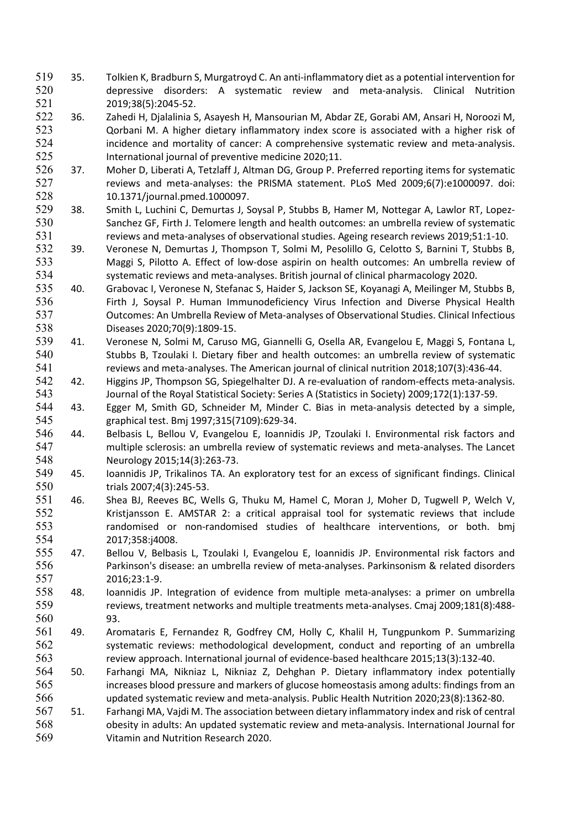- 35. Tolkien K, Bradburn S, Murgatroyd C. An anti-inflammatory diet as a potential intervention for depressive disorders: A systematic review and meta-analysis. Clinical Nutrition 2019;38(5):2045-52.
- 36. Zahedi H, Djalalinia S, Asayesh H, Mansourian M, Abdar ZE, Gorabi AM, Ansari H, Noroozi M, Qorbani M. A higher dietary inflammatory index score is associated with a higher risk of incidence and mortality of cancer: A comprehensive systematic review and meta-analysis. International journal of preventive medicine 2020;11.
- 37. Moher D, Liberati A, Tetzlaff J, Altman DG, Group P. Preferred reporting items for systematic reviews and meta-analyses: the PRISMA statement. PLoS Med 2009;6(7):e1000097. doi: 10.1371/journal.pmed.1000097.
- 38. Smith L, Luchini C, Demurtas J, Soysal P, Stubbs B, Hamer M, Nottegar A, Lawlor RT, Lopez- Sanchez GF, Firth J. Telomere length and health outcomes: an umbrella review of systematic reviews and meta-analyses of observational studies. Ageing research reviews 2019;51:1-10.
- 39. Veronese N, Demurtas J, Thompson T, Solmi M, Pesolillo G, Celotto S, Barnini T, Stubbs B, Maggi S, Pilotto A. Effect of low-dose aspirin on health outcomes: An umbrella review of systematic reviews and meta-analyses. British journal of clinical pharmacology 2020.
- 40. Grabovac I, Veronese N, Stefanac S, Haider S, Jackson SE, Koyanagi A, Meilinger M, Stubbs B, Firth J, Soysal P. Human Immunodeficiency Virus Infection and Diverse Physical Health Outcomes: An Umbrella Review of Meta-analyses of Observational Studies. Clinical Infectious Diseases 2020;70(9):1809-15.
- 41. Veronese N, Solmi M, Caruso MG, Giannelli G, Osella AR, Evangelou E, Maggi S, Fontana L, Stubbs B, Tzoulaki I. Dietary fiber and health outcomes: an umbrella review of systematic reviews and meta-analyses. The American journal of clinical nutrition 2018;107(3):436-44.
- 542 42. Higgins JP, Thompson SG, Spiegelhalter DJ. A re-evaluation of random-effects meta-analysis. Journal of the Royal Statistical Society: Series A (Statistics in Society) 2009;172(1):137-59.
- 43. Egger M, Smith GD, Schneider M, Minder C. Bias in meta-analysis detected by a simple, graphical test. Bmj 1997;315(7109):629-34.
- 44. Belbasis L, Bellou V, Evangelou E, Ioannidis JP, Tzoulaki I. Environmental risk factors and multiple sclerosis: an umbrella review of systematic reviews and meta-analyses. The Lancet Neurology 2015;14(3):263-73.
- 45. Ioannidis JP, Trikalinos TA. An exploratory test for an excess of significant findings. Clinical trials 2007;4(3):245-53.
- 46. Shea BJ, Reeves BC, Wells G, Thuku M, Hamel C, Moran J, Moher D, Tugwell P, Welch V, Kristjansson E. AMSTAR 2: a critical appraisal tool for systematic reviews that include randomised or non-randomised studies of healthcare interventions, or both. bmj 2017;358:j4008.
- 47. Bellou V, Belbasis L, Tzoulaki I, Evangelou E, Ioannidis JP. Environmental risk factors and Parkinson's disease: an umbrella review of meta-analyses. Parkinsonism & related disorders 2016;23:1-9.
- 48. Ioannidis JP. Integration of evidence from multiple meta-analyses: a primer on umbrella reviews, treatment networks and multiple treatments meta-analyses. Cmaj 2009;181(8):488- 93.
- 49. Aromataris E, Fernandez R, Godfrey CM, Holly C, Khalil H, Tungpunkom P. Summarizing systematic reviews: methodological development, conduct and reporting of an umbrella review approach. International journal of evidence-based healthcare 2015;13(3):132-40.
- 50. Farhangi MA, Nikniaz L, Nikniaz Z, Dehghan P. Dietary inflammatory index potentially increases blood pressure and markers of glucose homeostasis among adults: findings from an updated systematic review and meta-analysis. Public Health Nutrition 2020;23(8):1362-80.
- 51. Farhangi MA, Vajdi M. The association between dietary inflammatory index and risk of central obesity in adults: An updated systematic review and meta-analysis. International Journal for Vitamin and Nutrition Research 2020.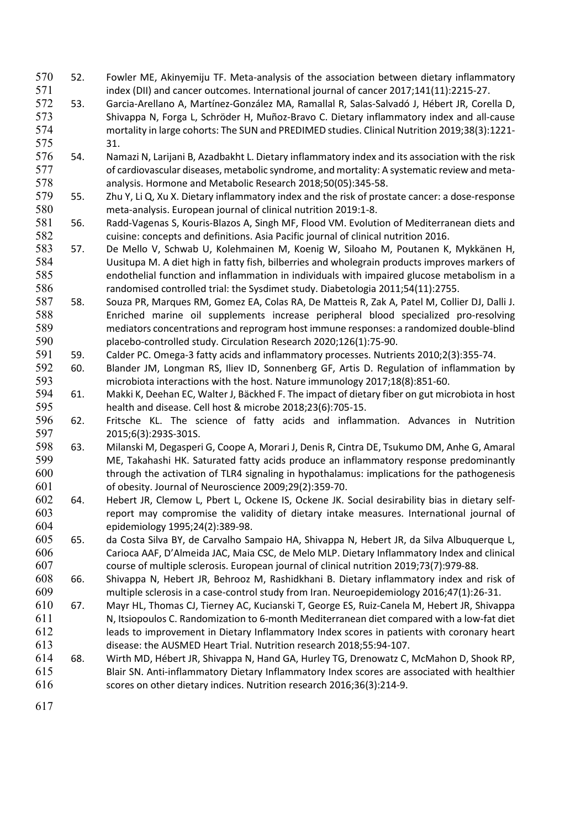- 52. Fowler ME, Akinyemiju TF. Meta-analysis of the association between dietary inflammatory 571 index (DII) and cancer outcomes. International journal of cancer 2017;141(11):2215-27.
- 53. Garcia-Arellano A, Martínez-González MA, Ramallal R, Salas-Salvadó J, Hébert JR, Corella D, 573 Shivappa N, Forga L, Schröder H, Muñoz-Bravo C. Dietary inflammatory index and all-cause mortality in large cohorts: The SUN and PREDIMED studies. Clinical Nutrition 2019;38(3):1221- 31.
- 54. Namazi N, Larijani B, Azadbakht L. Dietary inflammatory index and its association with the risk 577 of cardiovascular diseases, metabolic syndrome, and mortality: A systematic review and meta-analysis. Hormone and Metabolic Research 2018;50(05):345-58.
- 55. Zhu Y, Li Q, Xu X. Dietary inflammatory index and the risk of prostate cancer: a dose-response meta-analysis. European journal of clinical nutrition 2019:1-8.
- 56. Radd-Vagenas S, Kouris-Blazos A, Singh MF, Flood VM. Evolution of Mediterranean diets and cuisine: concepts and definitions. Asia Pacific journal of clinical nutrition 2016.
- 57. De Mello V, Schwab U, Kolehmainen M, Koenig W, Siloaho M, Poutanen K, Mykkänen H, Uusitupa M. A diet high in fatty fish, bilberries and wholegrain products improves markers of endothelial function and inflammation in individuals with impaired glucose metabolism in a randomised controlled trial: the Sysdimet study. Diabetologia 2011;54(11):2755.
- 58. Souza PR, Marques RM, Gomez EA, Colas RA, De Matteis R, Zak A, Patel M, Collier DJ, Dalli J. Enriched marine oil supplements increase peripheral blood specialized pro-resolving mediators concentrations and reprogram host immune responses: a randomized double-blind placebo-controlled study. Circulation Research 2020;126(1):75-90.
- 59. Calder PC. Omega-3 fatty acids and inflammatory processes. Nutrients 2010;2(3):355-74.
- 60. Blander JM, Longman RS, Iliev ID, Sonnenberg GF, Artis D. Regulation of inflammation by microbiota interactions with the host. Nature immunology 2017;18(8):851-60.
- 61. Makki K, Deehan EC, Walter J, Bäckhed F. The impact of dietary fiber on gut microbiota in host health and disease. Cell host & microbe 2018;23(6):705-15.
- 62. Fritsche KL. The science of fatty acids and inflammation. Advances in Nutrition 2015;6(3):293S-301S.
- 598 63. Milanski M, Degasperi G, Coope A, Morari J, Denis R, Cintra DE, Tsukumo DM, Anhe G, Amaral<br>599 ME. Takahashi HK. Saturated fatty acids produce an inflammatory response predominantly ME, Takahashi HK. Saturated fatty acids produce an inflammatory response predominantly through the activation of TLR4 signaling in hypothalamus: implications for the pathogenesis of obesity. Journal of Neuroscience 2009;29(2):359-70.
- 64. Hebert JR, Clemow L, Pbert L, Ockene IS, Ockene JK. Social desirability bias in dietary self- report may compromise the validity of dietary intake measures. International journal of epidemiology 1995;24(2):389-98.
- 65. da Costa Silva BY, de Carvalho Sampaio HA, Shivappa N, Hebert JR, da Silva Albuquerque L, Carioca AAF, D'Almeida JAC, Maia CSC, de Melo MLP. Dietary Inflammatory Index and clinical course of multiple sclerosis. European journal of clinical nutrition 2019;73(7):979-88.
- 66. Shivappa N, Hebert JR, Behrooz M, Rashidkhani B. Dietary inflammatory index and risk of multiple sclerosis in a case-control study from Iran. Neuroepidemiology 2016;47(1):26-31.
- 67. Mayr HL, Thomas CJ, Tierney AC, Kucianski T, George ES, Ruiz-Canela M, Hebert JR, Shivappa N, Itsiopoulos C. Randomization to 6-month Mediterranean diet compared with a low-fat diet leads to improvement in Dietary Inflammatory Index scores in patients with coronary heart disease: the AUSMED Heart Trial. Nutrition research 2018;55:94-107.
- 68. Wirth MD, Hébert JR, Shivappa N, Hand GA, Hurley TG, Drenowatz C, McMahon D, Shook RP, Blair SN. Anti-inflammatory Dietary Inflammatory Index scores are associated with healthier scores on other dietary indices. Nutrition research 2016;36(3):214-9.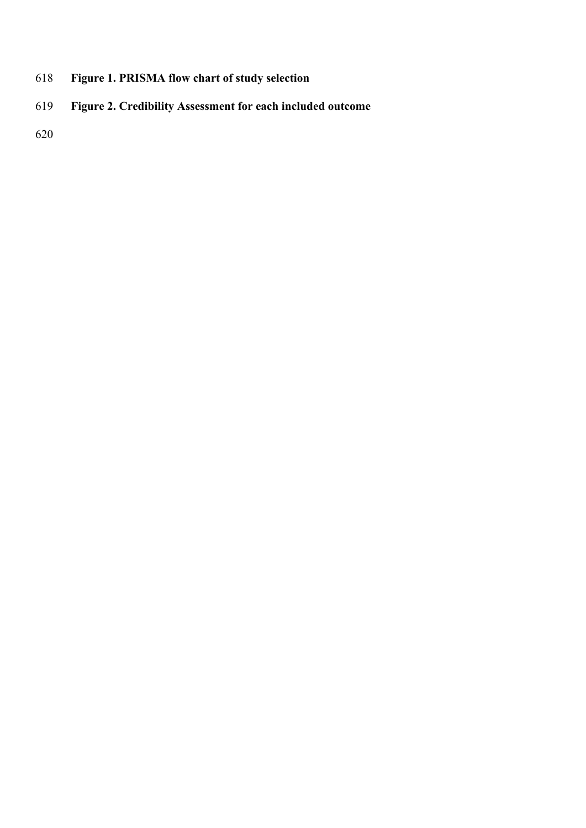- **Figure 1. PRISMA flow chart of study selection**
- **Figure 2. Credibility Assessment for each included outcome**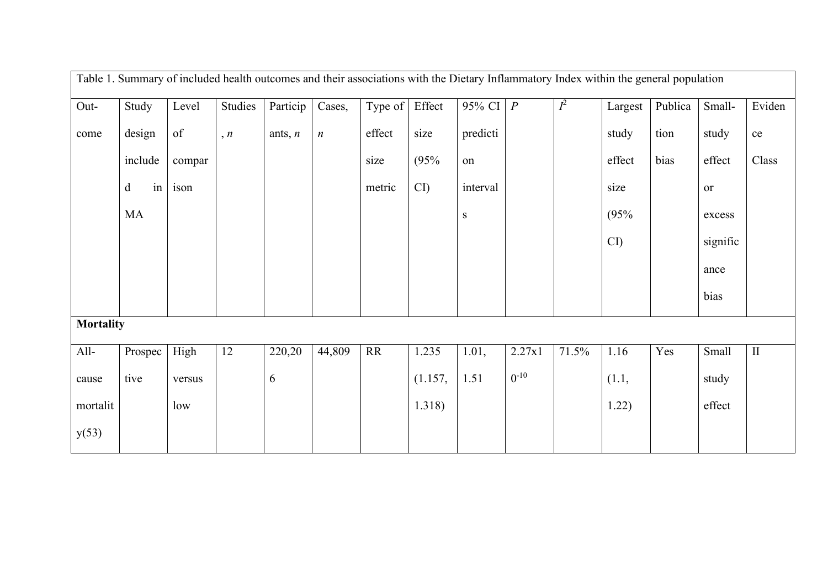| Table 1. Summary of included health outcomes and their associations with the Dietary Inflammatory Index within the general population |         |        |                |           |                  |           |                        |                      |           |                  |         |         |              |           |
|---------------------------------------------------------------------------------------------------------------------------------------|---------|--------|----------------|-----------|------------------|-----------|------------------------|----------------------|-----------|------------------|---------|---------|--------------|-----------|
| Out-                                                                                                                                  | Study   | Level  | <b>Studies</b> | Particip  | Cases,           | Type of   | Effect                 | 95% CI $\mid P \mid$ |           | $\overline{I^2}$ | Largest | Publica | Small-       | Eviden    |
| come                                                                                                                                  | design  | of     | n, n           | ants, $n$ | $\boldsymbol{n}$ | effect    | size                   | predicti             |           |                  | study   | tion    | study        | $\rm{ce}$ |
|                                                                                                                                       |         |        |                |           |                  |           |                        |                      |           |                  |         |         |              |           |
|                                                                                                                                       | include | compar |                |           |                  | size      | (95%                   | on                   |           |                  | effect  | bias    | effect       | Class     |
|                                                                                                                                       | in<br>d | ison   |                |           |                  | metric    | $\overline{\text{CD}}$ | interval             |           |                  | size    |         | or           |           |
|                                                                                                                                       | MA      |        |                |           |                  |           |                        | S                    |           |                  | (95%    |         | excess       |           |
|                                                                                                                                       |         |        |                |           |                  |           |                        |                      |           |                  | CI      |         | signific     |           |
|                                                                                                                                       |         |        |                |           |                  |           |                        |                      |           |                  |         |         | ance         |           |
|                                                                                                                                       |         |        |                |           |                  |           |                        |                      |           |                  |         |         | bias         |           |
| <b>Mortality</b>                                                                                                                      |         |        |                |           |                  |           |                        |                      |           |                  |         |         |              |           |
| $All-$                                                                                                                                | Prospec | High   | 12             | 220,20    | 44,809           | <b>RR</b> | 1.235                  | 1.01,                | 2.27x1    | 71.5%            | 1.16    | Yes     | <b>Small</b> | $\rm II$  |
| cause                                                                                                                                 | tive    | versus |                | 6         |                  |           | (1.157,                | 1.51                 | $0^{-10}$ |                  | (1.1,   |         | study        |           |
| mortalit                                                                                                                              |         | low    |                |           |                  |           | 1.318)                 |                      |           |                  | 1.22)   |         | effect       |           |
| y(53)                                                                                                                                 |         |        |                |           |                  |           |                        |                      |           |                  |         |         |              |           |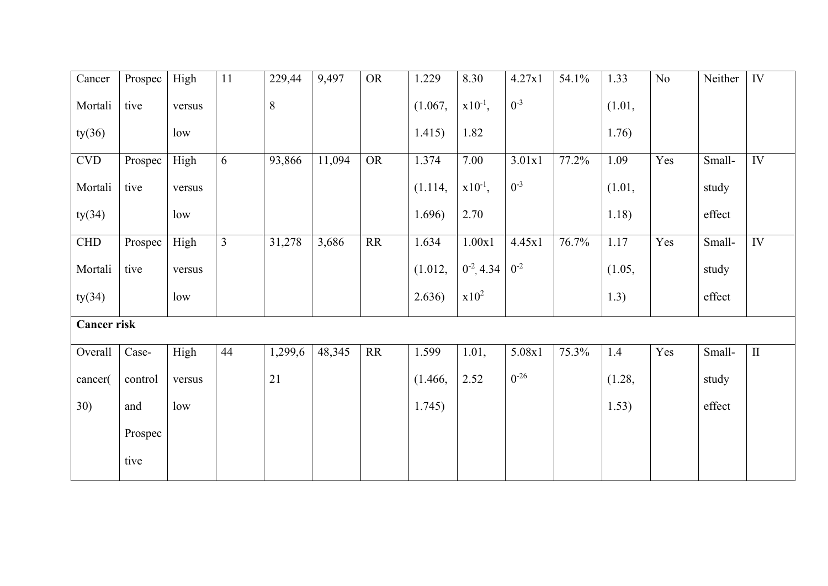| Cancer                      | Prospec | High   | 11             | 229,44  | 9,497  | <b>OR</b>                         | 1.229   | 8.30            | 4.27x1    | 54.1% | 1.33   | No  | Neither | $\overline{\rm IV}$ |
|-----------------------------|---------|--------|----------------|---------|--------|-----------------------------------|---------|-----------------|-----------|-------|--------|-----|---------|---------------------|
| Mortali                     | tive    | versus |                | 8       |        |                                   | (1.067, | $x10^{-1}$ ,    | $0^{-3}$  |       | (1.01, |     |         |                     |
| ty(36)                      |         | low    |                |         |        |                                   | 1.415)  | 1.82            |           |       | 1.76)  |     |         |                     |
| $\ensuremath{\mathrm{CVD}}$ | Prospec | High   | 6              | 93,866  | 11,094 | <b>OR</b>                         | 1.374   | 7.00            | 3.01x1    | 77.2% | 1.09   | Yes | Small-  | IV                  |
| Mortali                     | tive    | versus |                |         |        |                                   | (1.114, | $x10^{-1}$ ,    | $0^{-3}$  |       | (1.01, |     | study   |                     |
| ty(34)                      |         | low    |                |         |        |                                   | 1.696)  | 2.70            |           |       | 1.18)  |     | effect  |                     |
| ${\rm CHD}$                 | Prospec | High   | $\overline{3}$ | 31,278  | 3,686  | $\ensuremath{\mathsf{RR}}\xspace$ | 1.634   | $1.00x1$        | 4.45x1    | 76.7% | 1.17   | Yes | Small-  | $\overline{IV}$     |
| Mortali                     | tive    | versus |                |         |        |                                   | (1.012, | $0^{-2}$ , 4.34 | $0^{-2}$  |       | (1.05, |     | study   |                     |
| ty(34)                      |         | low    |                |         |        |                                   | 2.636)  | $x10^2$         |           |       | 1.3)   |     | effect  |                     |
| <b>Cancer risk</b>          |         |        |                |         |        |                                   |         |                 |           |       |        |     |         |                     |
| Overall                     | Case-   | High   | 44             | 1,299,6 | 48,345 | <b>RR</b>                         | 1.599   | 1.01,           | 5.08x1    | 75.3% | 1.4    | Yes | Small-  | $\rm II$            |
| cancer(                     | control | versus |                | 21      |        |                                   | (1.466, | 2.52            | $0^{-26}$ |       | (1.28, |     | study   |                     |
| 30)                         | and     | low    |                |         |        |                                   | 1.745)  |                 |           |       | 1.53)  |     | effect  |                     |
|                             | Prospec |        |                |         |        |                                   |         |                 |           |       |        |     |         |                     |
|                             | tive    |        |                |         |        |                                   |         |                 |           |       |        |     |         |                     |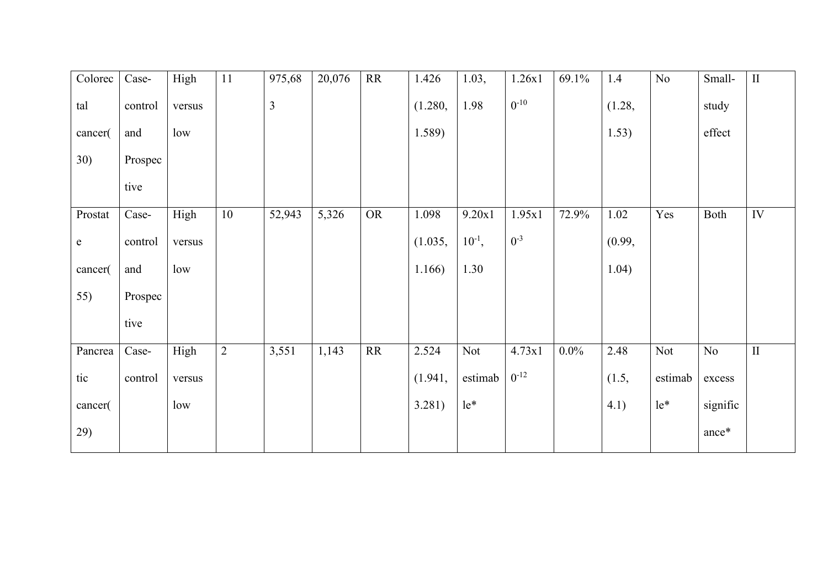| Colorec     | Case-   | High   | 11             | 975,68         | 20,076 | RR        | 1.426   | 1.03,       | 1.26x1    | 69.1%   | 1.4    | No      | Small-   | $\rm II$     |
|-------------|---------|--------|----------------|----------------|--------|-----------|---------|-------------|-----------|---------|--------|---------|----------|--------------|
| tal         | control | versus |                | $\overline{3}$ |        |           | (1.280, | 1.98        | $0^{-10}$ |         | (1.28, |         | study    |              |
| cancer(     | and     | low    |                |                |        |           | 1.589)  |             |           |         | 1.53)  |         | effect   |              |
| 30)         | Prospec |        |                |                |        |           |         |             |           |         |        |         |          |              |
|             | tive    |        |                |                |        |           |         |             |           |         |        |         |          |              |
| Prostat     | Case-   | High   | 10             | 52,943         | 5,326  | <b>OR</b> | 1.098   | 9.20x1      | 1.95x1    | 72.9%   | 1.02   | Yes     | Both     | IV           |
| $\mathbf e$ | control | versus |                |                |        |           | (1.035, | $10^{-1}$ , | $0^{-3}$  |         | (0.99, |         |          |              |
| cancer(     | and     | low    |                |                |        |           | 1.166)  | 1.30        |           |         | 1.04)  |         |          |              |
| 55)         | Prospec |        |                |                |        |           |         |             |           |         |        |         |          |              |
|             | tive    |        |                |                |        |           |         |             |           |         |        |         |          |              |
| Pancrea     | Case-   | High   | $\overline{2}$ | 3,551          | 1,143  | RR        | 2.524   | Not         | 4.73x1    | $0.0\%$ | 2.48   | Not     | No       | $\mathbf{I}$ |
| tic         | control | versus |                |                |        |           | (1.941, | estimab     | $0^{-12}$ |         | (1.5,  | estimab | excess   |              |
| cancer(     |         | low    |                |                |        |           | 3.281)  | $le^*$      |           |         | 4.1)   | $le^*$  | signific |              |
| 29)         |         |        |                |                |        |           |         |             |           |         |        |         | ance*    |              |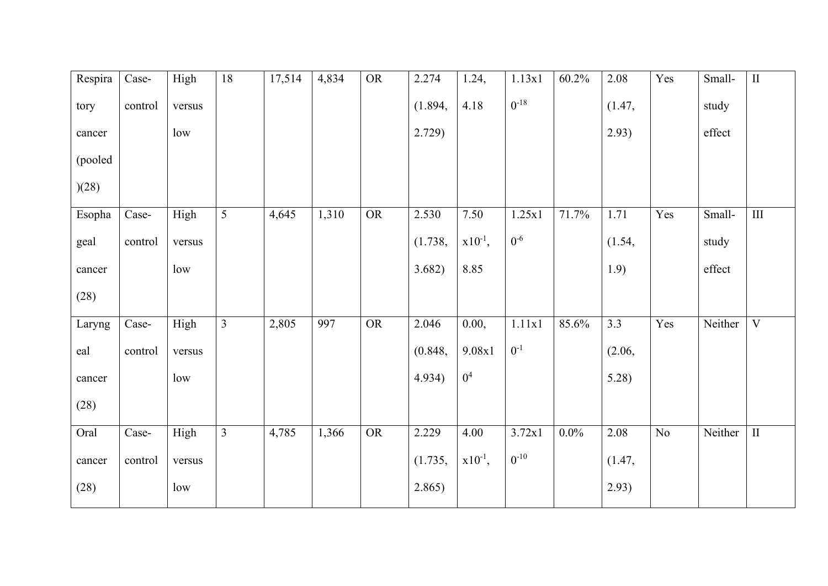| Respira | Case-       | High   | 18             | 17,514 | 4,834 | <b>OR</b> | 2.274   | 1.24,          | 1.13x1    | 60.2%   | 2.08   | Yes            | Small-  | $\overline{\rm II}$     |
|---------|-------------|--------|----------------|--------|-------|-----------|---------|----------------|-----------|---------|--------|----------------|---------|-------------------------|
| tory    | control     | versus |                |        |       |           | (1.894, | 4.18           | $0^{-18}$ |         | (1.47, |                | study   |                         |
| cancer  |             | low    |                |        |       |           | 2.729)  |                |           |         | 2.93)  |                | effect  |                         |
| (pooled |             |        |                |        |       |           |         |                |           |         |        |                |         |                         |
| )(28)   |             |        |                |        |       |           |         |                |           |         |        |                |         |                         |
| Esopha  | Case-       | High   | 5              | 4,645  | 1,310 | <b>OR</b> | 2.530   | 7.50           | 1.25x1    | 71.7%   | 1.71   | Yes            | Small-  | III                     |
| geal    | control     | versus |                |        |       |           | (1.738, | $x10^{-1}$ ,   | $0^{-6}$  |         | (1.54, |                | study   |                         |
| cancer  |             | low    |                |        |       |           | 3.682)  | 8.85           |           |         | 1.9)   |                | effect  |                         |
| (28)    |             |        |                |        |       |           |         |                |           |         |        |                |         |                         |
| Laryng  | Case-       | High   | $\overline{3}$ | 2,805  | 997   | OR        | 2.046   | 0.00,          | 1.11x1    | 85.6%   | 3.3    | Yes            | Neither | $\overline{\mathrm{V}}$ |
| eal     | control     | versus |                |        |       |           | (0.848, | 9.08x1         | $0^{-1}$  |         | (2.06, |                |         |                         |
| cancer  |             | low    |                |        |       |           | 4.934)  | 0 <sup>4</sup> |           |         | 5.28)  |                |         |                         |
| (28)    |             |        |                |        |       |           |         |                |           |         |        |                |         |                         |
| Oral    | $\sf Case-$ | High   | $\overline{3}$ | 4,785  | 1,366 | <b>OR</b> | 2.229   | 4.00           | 3.72x1    | $0.0\%$ | 2.08   | N <sub>o</sub> | Neither | $\rm II$                |
| cancer  | control     | versus |                |        |       |           | (1.735, | $x10^{-1}$ ,   | $0^{-10}$ |         | (1.47, |                |         |                         |
| (28)    |             | low    |                |        |       |           | 2.865)  |                |           |         | 2.93)  |                |         |                         |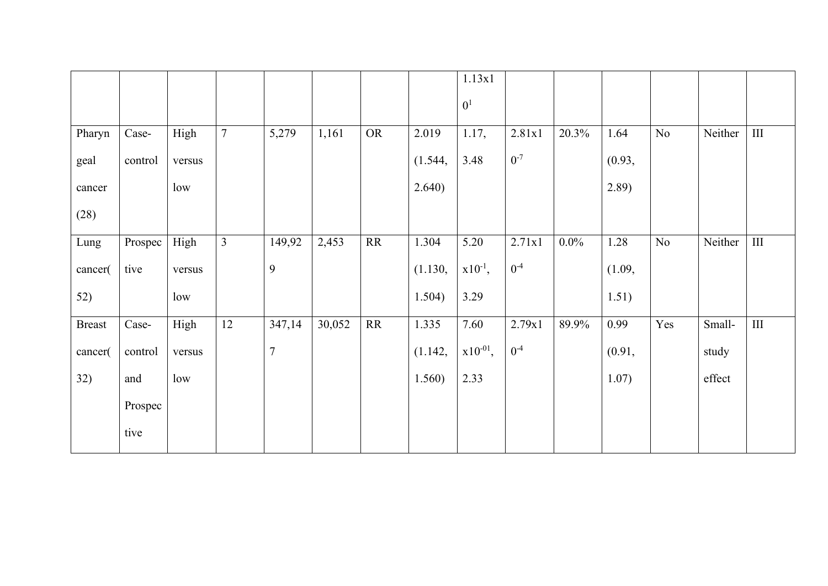|               |         |        |                |                  |        |           |         | 1.13x1         |          |         |        |     |         |     |
|---------------|---------|--------|----------------|------------------|--------|-----------|---------|----------------|----------|---------|--------|-----|---------|-----|
|               |         |        |                |                  |        |           |         | 0 <sup>1</sup> |          |         |        |     |         |     |
| Pharyn        | Case-   | High   | $\tau$         | 5,279            | 1,161  | <b>OR</b> | 2.019   | 1.17,          | 2.81x1   | 20.3%   | 1.64   | No  | Neither | III |
| geal          | control | versus |                |                  |        |           | (1.544, | 3.48           | $0^{-7}$ |         | (0.93, |     |         |     |
| cancer        |         | low    |                |                  |        |           | 2.640)  |                |          |         | 2.89)  |     |         |     |
| (28)          |         |        |                |                  |        |           |         |                |          |         |        |     |         |     |
| Lung          | Prospec | High   | $\overline{3}$ | 149,92           | 2,453  | <b>RR</b> | 1.304   | 5.20           | 2.71x1   | $0.0\%$ | 1.28   | No  | Neither | III |
| cancer(       | tive    | versus |                | 9                |        |           | (1.130, | $x10^{-1}$ ,   | $0^{-4}$ |         | (1.09, |     |         |     |
| 52)           |         | low    |                |                  |        |           | 1.504)  | 3.29           |          |         | 1.51)  |     |         |     |
| <b>Breast</b> | Case-   | High   | 12             | 347,14           | 30,052 | RR        | 1.335   | 7.60           | 2.79x1   | 89.9%   | 0.99   | Yes | Small-  | III |
| cancer(       | control | versus |                | $\boldsymbol{7}$ |        |           | (1.142, | $x10^{-01}$ ,  | $0^{-4}$ |         | (0.91, |     | study   |     |
| 32)           | and     | low    |                |                  |        |           | 1.560)  | 2.33           |          |         | 1.07)  |     | effect  |     |
|               | Prospec |        |                |                  |        |           |         |                |          |         |        |     |         |     |
|               | tive    |        |                |                  |        |           |         |                |          |         |        |     |         |     |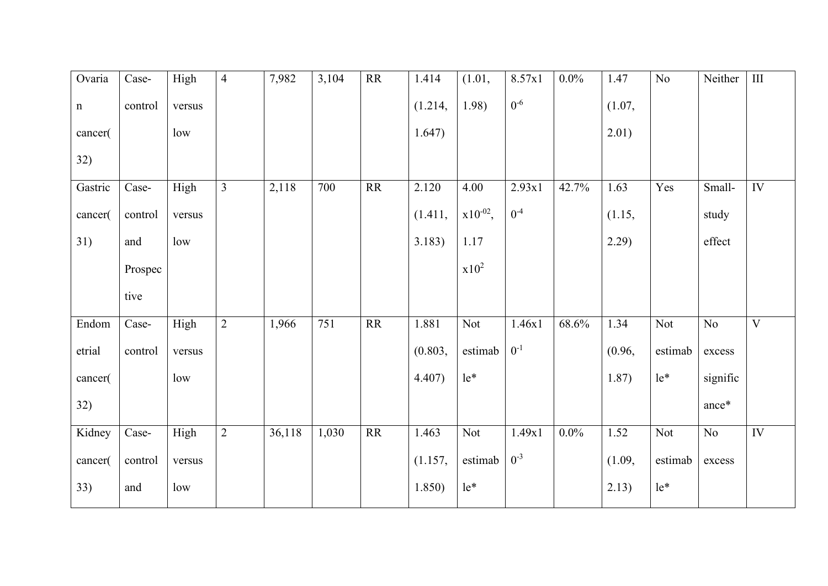| Ovaria    | Case-   | High   | $\overline{4}$ | 7,982  | 3,104 | RR              | 1.414   | (1.01,        | 8.57x1   | $0.0\%$ | 1.47   | N <sub>o</sub> | Neither         | $\overline{\hbox{III}}$ |
|-----------|---------|--------|----------------|--------|-------|-----------------|---------|---------------|----------|---------|--------|----------------|-----------------|-------------------------|
| ${\bf n}$ | control | versus |                |        |       |                 | (1.214, | 1.98)         | $0^{-6}$ |         | (1.07, |                |                 |                         |
| cancer(   |         | low    |                |        |       |                 | 1.647)  |               |          |         | 2.01)  |                |                 |                         |
| 32)       |         |        |                |        |       |                 |         |               |          |         |        |                |                 |                         |
| Gastric   | Case-   | High   | $\overline{3}$ | 2,118  | 700   | RR              | 2.120   | 4.00          | 2.93x1   | 42.7%   | 1.63   | Yes            | Small-          | IV                      |
| cancer(   | control | versus |                |        |       |                 | (1.411, | $x10^{-02}$ , | $0^{-4}$ |         | (1.15, |                | study           |                         |
| 31)       | and     | low    |                |        |       |                 | 3.183)  | 1.17          |          |         | 2.29)  |                | effect          |                         |
|           | Prospec |        |                |        |       |                 |         | $x10^2$       |          |         |        |                |                 |                         |
|           | tive    |        |                |        |       |                 |         |               |          |         |        |                |                 |                         |
| Endom     | Case-   | High   | $\overline{2}$ | 1,966  | 751   | $\overline{RR}$ | 1.881   | Not           | 1.46x1   | 68.6%   | 1.34   | Not            | $\overline{No}$ | $\overline{\mathbf{V}}$ |
| etrial    | control | versus |                |        |       |                 | (0.803, | estimab       | $0^{-1}$ |         | (0.96, | estimab        | excess          |                         |
| cancer(   |         | low    |                |        |       |                 | 4.407)  | $le^*$        |          |         | 1.87)  | $le^*$         | signific        |                         |
| 32)       |         |        |                |        |       |                 |         |               |          |         |        |                | ance*           |                         |
| Kidney    | Case-   | High   | $\overline{2}$ | 36,118 | 1,030 | RR              | 1.463   | Not           | 1.49x1   | $0.0\%$ | 1.52   | Not            | $\rm No$        | <b>IV</b>               |
| cancer(   | control | versus |                |        |       |                 | (1.157, | estimab       | $0^{-3}$ |         | (1.09, | estimab        | excess          |                         |
| 33)       | and     | low    |                |        |       |                 | 1.850)  | $le^*$        |          |         | 2.13)  | $le^*$         |                 |                         |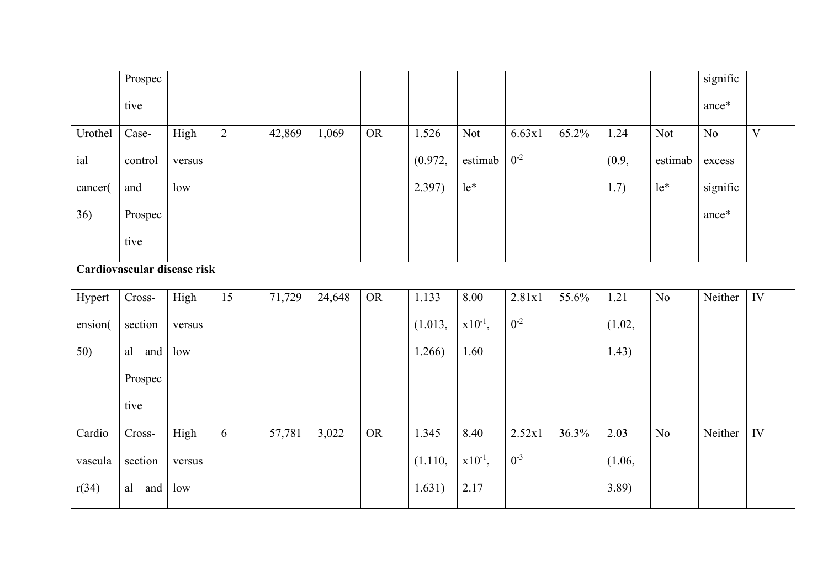|         | Prospec                     |        |                |        |        |           |         |              |          |       |        |         | signific |                         |
|---------|-----------------------------|--------|----------------|--------|--------|-----------|---------|--------------|----------|-------|--------|---------|----------|-------------------------|
|         | tive                        |        |                |        |        |           |         |              |          |       |        |         | ance*    |                         |
| Urothel | Case-                       | High   | $\overline{2}$ | 42,869 | 1,069  | <b>OR</b> | 1.526   | Not          | 6.63x1   | 65.2% | 1.24   | Not     | $\rm No$ | $\overline{\mathbf{V}}$ |
| ial     | control                     | versus |                |        |        |           | (0.972, | estimab      | $0^{-2}$ |       | (0.9,  | estimab | excess   |                         |
| cancer( | and                         | low    |                |        |        |           | 2.397)  | $le^*$       |          |       | 1.7)   | $le^*$  | signific |                         |
| 36)     | Prospec                     |        |                |        |        |           |         |              |          |       |        |         | ance*    |                         |
|         | tive                        |        |                |        |        |           |         |              |          |       |        |         |          |                         |
|         | Cardiovascular disease risk |        |                |        |        |           |         |              |          |       |        |         |          |                         |
| Hypert  | $Cross-$                    | High   | 15             | 71,729 | 24,648 | <b>OR</b> | 1.133   | 8.00         | 2.81x1   | 55.6% | 1.21   | No      | Neither  | $\overline{IV}$         |
| ension( | section                     | versus |                |        |        |           | (1.013, | $x10^{-1}$ , | $0^{-2}$ |       | (1.02, |         |          |                         |
| 50)     | al<br>and                   | low    |                |        |        |           | 1.266)  | 1.60         |          |       | 1.43)  |         |          |                         |
|         | Prospec                     |        |                |        |        |           |         |              |          |       |        |         |          |                         |
|         | tive                        |        |                |        |        |           |         |              |          |       |        |         |          |                         |
| Cardio  | Cross-                      | High   | 6              | 57,781 | 3,022  | <b>OR</b> | 1.345   | 8.40         | 2.52x1   | 36.3% | 2.03   | No      | Neither  | IV                      |
| vascula | section                     | versus |                |        |        |           | (1.110, | $x10^{-1}$ , | $0^{-3}$ |       | (1.06, |         |          |                         |
| r(34)   | al<br>and                   | low    |                |        |        |           | 1.631)  | 2.17         |          |       | 3.89   |         |          |                         |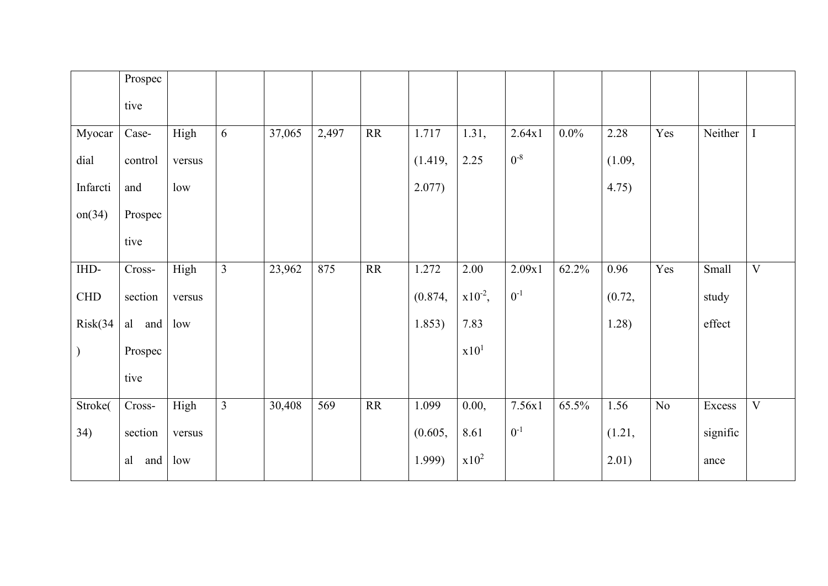|          | Prospec   |        |                |        |       |                 |         |                  |          |         |        |                 |          |                         |
|----------|-----------|--------|----------------|--------|-------|-----------------|---------|------------------|----------|---------|--------|-----------------|----------|-------------------------|
|          | tive      |        |                |        |       |                 |         |                  |          |         |        |                 |          |                         |
| Myocar   | Case-     | High   | 6              | 37,065 | 2,497 | <b>RR</b>       | 1.717   | 1.31,            | 2.64x1   | $0.0\%$ | 2.28   | Yes             | Neither  | $\mathbf I$             |
| dial     | control   | versus |                |        |       |                 | (1.419, | 2.25             | $0^{-8}$ |         | (1.09, |                 |          |                         |
| Infarcti | and       | low    |                |        |       |                 | 2.077)  |                  |          |         | 4.75)  |                 |          |                         |
| on(34)   | Prospec   |        |                |        |       |                 |         |                  |          |         |        |                 |          |                         |
|          | tive      |        |                |        |       |                 |         |                  |          |         |        |                 |          |                         |
| IHD-     | Cross-    | High   | $\overline{3}$ | 23,962 | 875   | RR              | 1.272   | 2.00             | 2.09x1   | 62.2%   | 0.96   | Yes             | Small    | $\overline{\mathbf{V}}$ |
| CHD      | section   | versus |                |        |       |                 | (0.874, | $x10^{-2}$ ,     | $0^{-1}$ |         | (0.72, |                 | study    |                         |
| Risk(34) | al<br>and | low    |                |        |       |                 | 1.853)  | 7.83             |          |         | 1.28)  |                 | effect   |                         |
|          | Prospec   |        |                |        |       |                 |         | x10 <sup>1</sup> |          |         |        |                 |          |                         |
|          | tive      |        |                |        |       |                 |         |                  |          |         |        |                 |          |                         |
| Stroke(  | Cross-    | High   | $\overline{3}$ | 30,408 | 569   | $\overline{RR}$ | 1.099   | 0.00,            | 7.56x1   | 65.5%   | 1.56   | $\overline{No}$ | Excess   | $\overline{\mathbf{V}}$ |
| 34)      | section   | versus |                |        |       |                 | (0.605, | 8.61             | $0-1$    |         | (1.21, |                 | signific |                         |
|          | al<br>and | low    |                |        |       |                 | 1.999)  | $x10^2$          |          |         | 2.01)  |                 | ance     |                         |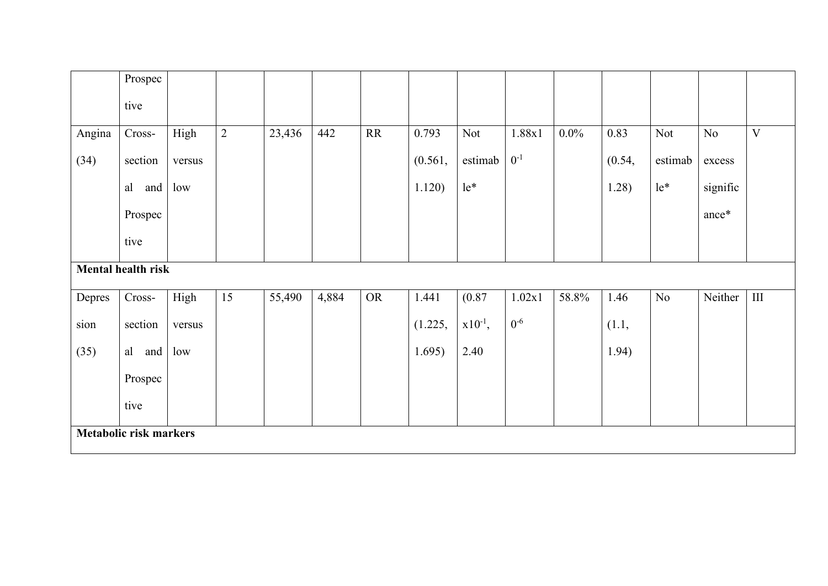|        | Prospec                       |        |            |        |       |           |         |              |          |         |        |         |          |                |
|--------|-------------------------------|--------|------------|--------|-------|-----------|---------|--------------|----------|---------|--------|---------|----------|----------------|
|        | tive                          |        |            |        |       |           |         |              |          |         |        |         |          |                |
| Angina | $Cross-$                      | High   | $\sqrt{2}$ | 23,436 | 442   | <b>RR</b> | 0.793   | Not          | 1.88x1   | $0.0\%$ | 0.83   | Not     | No       | $\overline{V}$ |
| (34)   | section                       | versus |            |        |       |           | (0.561, | estimab      | $0^{-1}$ |         | (0.54, | estimab | excess   |                |
|        | al<br>and                     | low    |            |        |       |           | 1.120)  | $le^*$       |          |         | 1.28)  | $le^*$  | signific |                |
|        | Prospec                       |        |            |        |       |           |         |              |          |         |        |         | ance*    |                |
|        | tive                          |        |            |        |       |           |         |              |          |         |        |         |          |                |
|        | <b>Mental health risk</b>     |        |            |        |       |           |         |              |          |         |        |         |          |                |
| Depres | Cross-                        | High   | 15         | 55,490 | 4,884 | <b>OR</b> | 1.441   | (0.87)       | 1.02x1   | 58.8%   | 1.46   | No      | Neither  | III            |
| sion   | section                       | versus |            |        |       |           | (1.225, | $x10^{-1}$ , | $0-6$    |         | (1.1,  |         |          |                |
| (35)   | al<br>and                     | low    |            |        |       |           | 1.695)  | 2.40         |          |         | 1.94)  |         |          |                |
|        | Prospec                       |        |            |        |       |           |         |              |          |         |        |         |          |                |
|        | tive                          |        |            |        |       |           |         |              |          |         |        |         |          |                |
|        | <b>Metabolic risk markers</b> |        |            |        |       |           |         |              |          |         |        |         |          |                |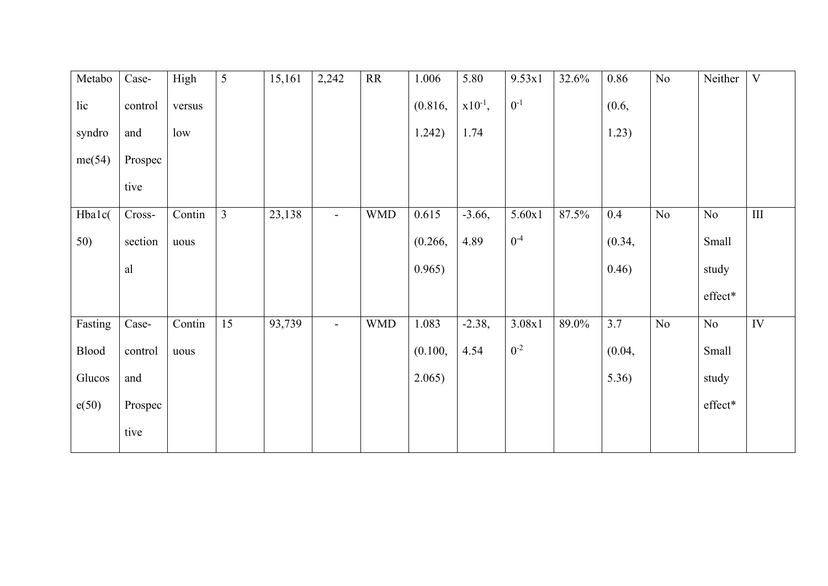| Metabo  | Case-   | High   | $5\overline{)}$ | 15,161 | 2,242                    | RR         | 1.006   | 5.80         | 9.53x1   | 32.6% | 0.86    | No       | Neither                   | V   |
|---------|---------|--------|-----------------|--------|--------------------------|------------|---------|--------------|----------|-------|---------|----------|---------------------------|-----|
| lic     | control | versus |                 |        |                          |            | (0.816, | $x10^{-1}$ , | $0^{-1}$ |       | (0.6, ) |          |                           |     |
| syndro  | and     | low    |                 |        |                          |            | 1.242)  | 1.74         |          |       | 1.23)   |          |                           |     |
| me(54)  | Prospec |        |                 |        |                          |            |         |              |          |       |         |          |                           |     |
|         | tive    |        |                 |        |                          |            |         |              |          |       |         |          |                           |     |
| Hba1c(  | Cross-  | Contin | $\overline{3}$  | 23,138 | $\blacksquare$           | <b>WMD</b> | 0.615   | $-3.66,$     | 5.60x1   | 87.5% | 0.4     | $\rm No$ | No                        | III |
| 50)     | section | uous   |                 |        |                          |            | (0.266, | 4.89         | $0^{-4}$ |       | (0.34,  |          | <b>Small</b>              |     |
|         | al      |        |                 |        |                          |            | 0.965)  |              |          |       | 0.46)   |          | study                     |     |
|         |         |        |                 |        |                          |            |         |              |          |       |         |          | effect*                   |     |
| Fasting | Case-   | Contin | 15              | 93,739 | $\overline{\phantom{a}}$ | <b>WMD</b> | 1.083   | $-2.38,$     | 3.08x1   | 89.0% | 3.7     | $\rm No$ | $\rm No$                  | IV  |
| Blood   | control | uous   |                 |        |                          |            | (0.100, | 4.54         | $0^{-2}$ |       | (0.04,  |          | Small                     |     |
| Glucos  | and     |        |                 |        |                          |            | 2.065)  |              |          |       | 5.36)   |          | study                     |     |
| e(50)   | Prospec |        |                 |        |                          |            |         |              |          |       |         |          | $\operatorname{effect^*}$ |     |
|         | tive    |        |                 |        |                          |            |         |              |          |       |         |          |                           |     |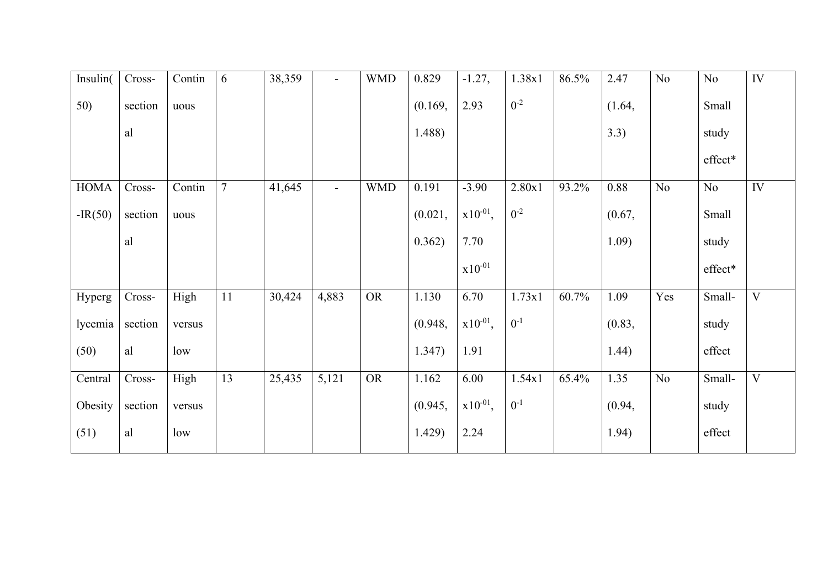| Insulin(    | Cross-   | Contin | 6      | 38,359 | $\overline{\phantom{a}}$ | <b>WMD</b> | 0.829   | $-1.27,$      | 1.38x1   | 86.5% | 2.47   | No  | $\rm No$                  | IV                      |
|-------------|----------|--------|--------|--------|--------------------------|------------|---------|---------------|----------|-------|--------|-----|---------------------------|-------------------------|
| 50)         | section  | uous   |        |        |                          |            | (0.169, | 2.93          | $0^{-2}$ |       | (1.64, |     | <b>Small</b>              |                         |
|             | al       |        |        |        |                          |            | 1.488)  |               |          |       | 3.3)   |     | study                     |                         |
|             |          |        |        |        |                          |            |         |               |          |       |        |     | $\operatorname{effect^*}$ |                         |
| <b>HOMA</b> | Cross-   | Contin | $\tau$ | 41,645 | $\blacksquare$           | <b>WMD</b> | 0.191   | $-3.90$       | 2.80x1   | 93.2% | 0.88   | No  | No                        | IV                      |
| $-IR(50)$   | section  | uous   |        |        |                          |            | (0.021, | $x10^{-01}$ , | $0^{-2}$ |       | (0.67, |     | <b>Small</b>              |                         |
|             | al       |        |        |        |                          |            | 0.362)  | 7.70          |          |       | 1.09)  |     | study                     |                         |
|             |          |        |        |        |                          |            |         | $x10^{-01}$   |          |       |        |     | effect*                   |                         |
| Hyperg      | $Cross-$ | High   | 11     | 30,424 | 4,883                    | <b>OR</b>  | 1.130   | 6.70          | 1.73x1   | 60.7% | 1.09   | Yes | Small-                    | $\overline{\mathbf{V}}$ |
| lycemia     | section  | versus |        |        |                          |            | (0.948, | $x10^{-01}$ , | $0^{-1}$ |       | (0.83, |     | study                     |                         |
| (50)        | al       | low    |        |        |                          |            | 1.347)  | 1.91          |          |       | 1.44)  |     | effect                    |                         |
| Central     | Cross-   | High   | 13     | 25,435 | 5,121                    | <b>OR</b>  | 1.162   | 6.00          | 1.54x1   | 65.4% | 1.35   | No  | Small-                    | $\overline{V}$          |
| Obesity     | section  | versus |        |        |                          |            | (0.945, | $x10^{-01}$ , | $0^{-1}$ |       | (0.94, |     | study                     |                         |
| (51)        | al       | low    |        |        |                          |            | 1.429)  | 2.24          |          |       | 1.94)  |     | effect                    |                         |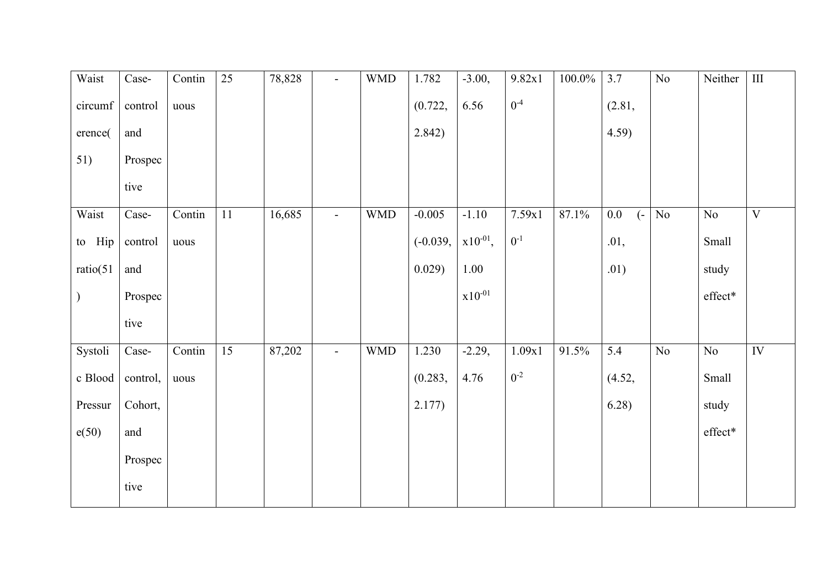| Waist     | Case-    | Contin | 25 | 78,828 | $\blacksquare$ | <b>WMD</b> | 1.782      | $-3.00,$      | 9.82x1   | $100.0\%$ | 3.7                          | $\overline{No}$ | Neither                            | $\overline{\rm III}$    |
|-----------|----------|--------|----|--------|----------------|------------|------------|---------------|----------|-----------|------------------------------|-----------------|------------------------------------|-------------------------|
| circumf   | control  | uous   |    |        |                |            | (0.722,    | 6.56          | $0^{-4}$ |           | (2.81,                       |                 |                                    |                         |
| erence(   | and      |        |    |        |                |            | 2.842)     |               |          |           | 4.59                         |                 |                                    |                         |
| 51)       | Prospec  |        |    |        |                |            |            |               |          |           |                              |                 |                                    |                         |
|           | tive     |        |    |        |                |            |            |               |          |           |                              |                 |                                    |                         |
| Waist     | Case-    | Contin | 11 | 16,685 | $\blacksquare$ | <b>WMD</b> | $-0.005$   | $-1.10$       | 7.59x1   | 87.1%     | $0.0\,$<br>$\left( -\right)$ | $\rm No$        | $\rm No$                           | $\overline{\mathbf{V}}$ |
| to Hip    | control  | uous   |    |        |                |            | $(-0.039,$ | $x10^{-01}$ , | $0^{-1}$ |           | .01,                         |                 | Small                              |                         |
| ratio(51) | and      |        |    |        |                |            | 0.029)     | 1.00          |          |           | .01)                         |                 | study                              |                         |
| $\big)$   | Prospec  |        |    |        |                |            |            | $x10^{-01}$   |          |           |                              |                 | effect*                            |                         |
|           | tive     |        |    |        |                |            |            |               |          |           |                              |                 |                                    |                         |
| Systoli   | Case-    | Contin | 15 | 87,202 | $\blacksquare$ | <b>WMD</b> | 1.230      | $-2.29,$      | 1.09x1   | 91.5%     | 5.4                          | No              | No                                 | IV                      |
| c Blood   | control, | uous   |    |        |                |            | (0.283,    | 4.76          | $0^{-2}$ |           | (4.52,                       |                 | Small                              |                         |
| Pressur   | Cohort,  |        |    |        |                |            | 2.177)     |               |          |           | 6.28)                        |                 | study                              |                         |
| e(50)     | and      |        |    |        |                |            |            |               |          |           |                              |                 | $\operatorname{\mathsf{effect}}^*$ |                         |
|           | Prospec  |        |    |        |                |            |            |               |          |           |                              |                 |                                    |                         |
|           | tive     |        |    |        |                |            |            |               |          |           |                              |                 |                                    |                         |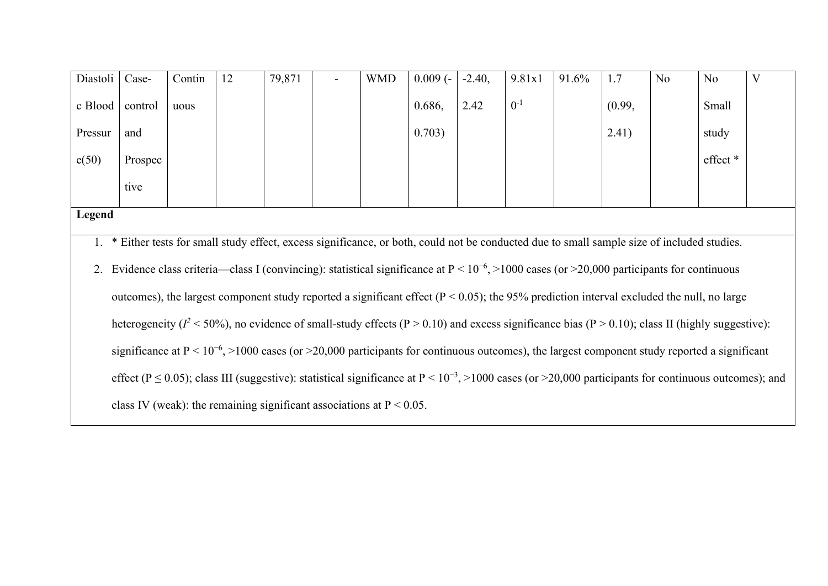| Diastoli | Case-                                                                                                                                                           | Contin | 12 | 79,871                                                                  |  | <b>WMD</b> | $0.009(-)$                                                                                                                                         | $-2.40,$ | 9.81x1   | 91.6% | 1.7    | N <sub>o</sub> | <b>No</b> | $\overline{\mathrm{V}}$ |
|----------|-----------------------------------------------------------------------------------------------------------------------------------------------------------------|--------|----|-------------------------------------------------------------------------|--|------------|----------------------------------------------------------------------------------------------------------------------------------------------------|----------|----------|-------|--------|----------------|-----------|-------------------------|
| c Blood  | control                                                                                                                                                         | uous   |    |                                                                         |  |            | 0.686,                                                                                                                                             | 2.42     | $0^{-1}$ |       | (0.99, |                | Small     |                         |
| Pressur  | and                                                                                                                                                             |        |    |                                                                         |  |            | 0.703)                                                                                                                                             |          |          |       | 2.41)  |                | study     |                         |
| e(50)    | Prospec                                                                                                                                                         |        |    |                                                                         |  |            |                                                                                                                                                    |          |          |       |        |                | effect *  |                         |
|          | tive                                                                                                                                                            |        |    |                                                                         |  |            |                                                                                                                                                    |          |          |       |        |                |           |                         |
| Legend   |                                                                                                                                                                 |        |    |                                                                         |  |            |                                                                                                                                                    |          |          |       |        |                |           |                         |
|          | 1. * Either tests for small study effect, excess significance, or both, could not be conducted due to small sample size of included studies.                    |        |    |                                                                         |  |            |                                                                                                                                                    |          |          |       |        |                |           |                         |
|          |                                                                                                                                                                 |        |    |                                                                         |  |            | 2. Evidence class criteria—class I (convincing): statistical significance at $P \le 10^{-6}$ , >1000 cases (or >20,000 participants for continuous |          |          |       |        |                |           |                         |
|          | outcomes), the largest component study reported a significant effect ( $P < 0.05$ ); the 95% prediction interval excluded the null, no large                    |        |    |                                                                         |  |            |                                                                                                                                                    |          |          |       |        |                |           |                         |
|          | heterogeneity ( $l^2$ < 50%), no evidence of small-study effects ( $P > 0.10$ ) and excess significance bias ( $P > 0.10$ ); class II (highly suggestive):      |        |    |                                                                         |  |            |                                                                                                                                                    |          |          |       |        |                |           |                         |
|          | significance at $P \le 10^{-6}$ , >1000 cases (or >20,000 participants for continuous outcomes), the largest component study reported a significant             |        |    |                                                                         |  |            |                                                                                                                                                    |          |          |       |        |                |           |                         |
|          | effect ( $P \le 0.05$ ); class III (suggestive): statistical significance at $P < 10^{-3}$ , >1000 cases (or >20,000 participants for continuous outcomes); and |        |    |                                                                         |  |            |                                                                                                                                                    |          |          |       |        |                |           |                         |
|          |                                                                                                                                                                 |        |    | class IV (weak): the remaining significant associations at $P < 0.05$ . |  |            |                                                                                                                                                    |          |          |       |        |                |           |                         |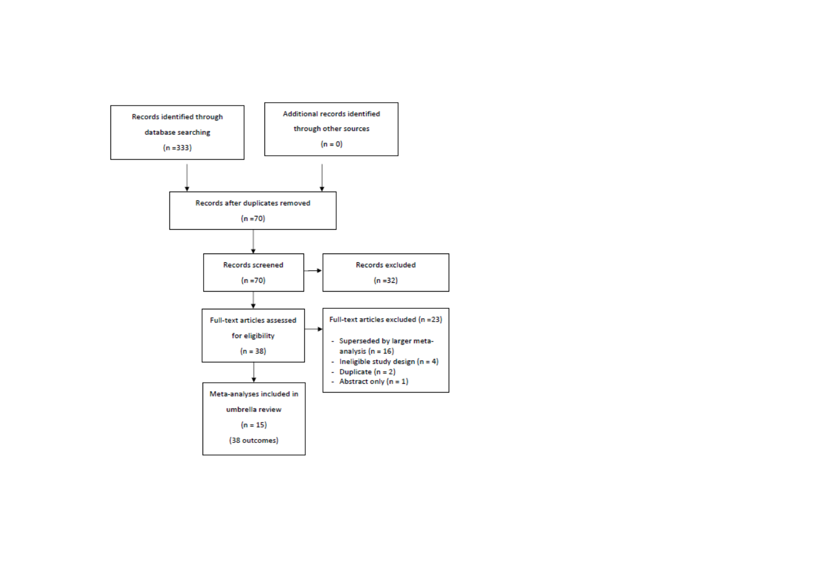